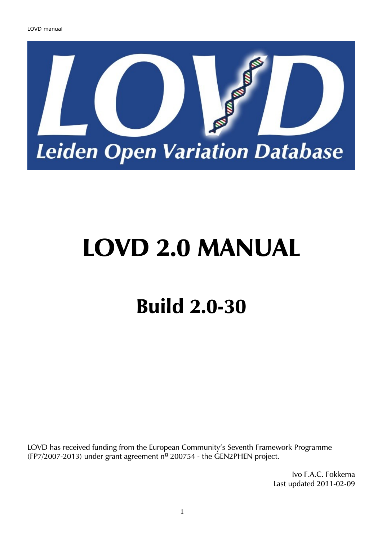

# **LOVD 2.0 MANUAL**

# **Build 2.0-30**

LOVD has received funding from the European Community's Seventh Framework Programme (FP7/2007-2013) under grant agreement  $n^{\circ}$  200754 - the GEN2PHEN project.

> Ivo F.A.C. Fokkema Last updated 2011-02-09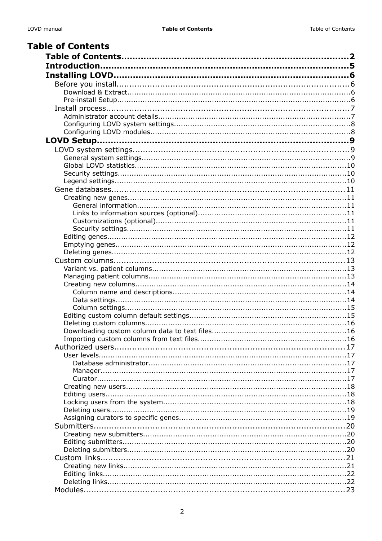| <b>Table of Contents</b> |  |
|--------------------------|--|
|                          |  |
|                          |  |
|                          |  |
|                          |  |
|                          |  |
|                          |  |
|                          |  |
|                          |  |
|                          |  |
|                          |  |
|                          |  |
|                          |  |
|                          |  |
|                          |  |
|                          |  |
|                          |  |
|                          |  |
|                          |  |
|                          |  |
|                          |  |
|                          |  |
|                          |  |
|                          |  |
|                          |  |
|                          |  |
|                          |  |
|                          |  |
|                          |  |
|                          |  |
|                          |  |
|                          |  |
|                          |  |
|                          |  |
|                          |  |
|                          |  |
|                          |  |
|                          |  |
|                          |  |
|                          |  |
|                          |  |
|                          |  |
|                          |  |
|                          |  |
|                          |  |
|                          |  |
|                          |  |
|                          |  |
|                          |  |
|                          |  |
|                          |  |
|                          |  |
|                          |  |
|                          |  |
|                          |  |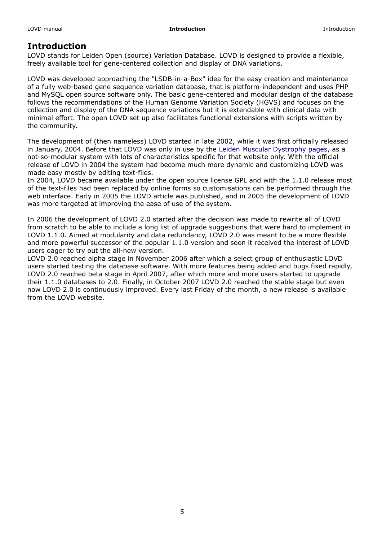# **Introduction**

LOVD stands for Leiden Open (source) Variation Database. LOVD is designed to provide a flexible, freely available tool for gene-centered collection and display of DNA variations.

LOVD was developed approaching the "LSDB-in-a-Box" idea for the easy creation and maintenance of a fully web-based gene sequence variation database, that is platform-independent and uses PHP and MySQL open source software only. The basic gene-centered and modular design of the database follows the recommendations of the Human Genome Variation Society (HGVS) and focuses on the collection and display of the DNA sequence variations but it is extendable with clinical data with minimal effort. The open LOVD set up also facilitates functional extensions with scripts written by the community.

The development of (then nameless) LOVD started in late 2002, while it was first officially released in January, 2004. Before that LOVD was only in use by the [Leiden Muscular Dystrophy pages,](http://www.dmd.nl/) as a not-so-modular system with lots of characteristics specific for that website only. With the official release of LOVD in 2004 the system had become much more dynamic and customizing LOVD was made easy mostly by editing text-files.

In 2004, LOVD became available under the open source license GPL and with the 1.1.0 release most of the text-files had been replaced by online forms so customisations can be performed through the web interface. Early in 2005 the LOVD article was published, and in 2005 the development of LOVD was more targeted at improving the ease of use of the system.

In 2006 the development of LOVD 2.0 started after the decision was made to rewrite all of LOVD from scratch to be able to include a long list of upgrade suggestions that were hard to implement in LOVD 1.1.0. Aimed at modularity and data redundancy, LOVD 2.0 was meant to be a more flexible and more powerful successor of the popular 1.1.0 version and soon it received the interest of LOVD users eager to try out the all-new version.

LOVD 2.0 reached alpha stage in November 2006 after which a select group of enthusiastic LOVD users started testing the database software. With more features being added and bugs fixed rapidly, LOVD 2.0 reached beta stage in April 2007, after which more and more users started to upgrade their 1.1.0 databases to 2.0. Finally, in October 2007 LOVD 2.0 reached the stable stage but even now LOVD 2.0 is continuously improved. Every last Friday of the month, a new release is available from the LOVD website.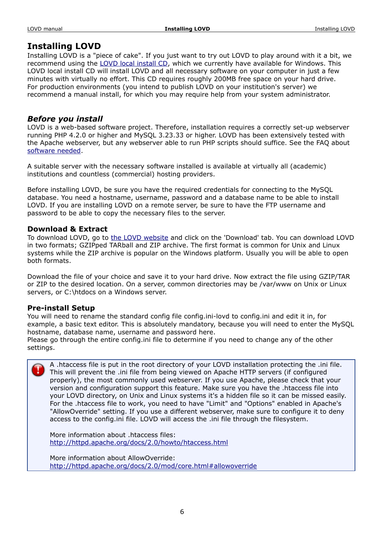# **Installing LOVD**

Installing LOVD is a "piece of cake". If you just want to try out LOVD to play around with it a bit, we recommend using the [LOVD local install CD,](http://www.LOVD.nl/2.0/download_local_install.php) which we currently have available for Windows. This LOVD local install CD will install LOVD and all necessary software on your computer in just a few minutes with virtually no effort. This CD requires roughly 200MB free space on your hard drive. For production environments (you intend to publish LOVD on your institution's server) we recommend a manual install, for which you may require help from your system administrator.

# *Before you install*

LOVD is a web-based software project. Therefore, installation requires a correctly set-up webserver running PHP 4.2.0 or higher and MySQL 3.23.33 or higher. LOVD has been extensively tested with the Apache webserver, but any webserver able to run PHP scripts should suffice. See the FAQ about [software needed.](http://www.LOVD.nl/2.0/faq_software.php)

A suitable server with the necessary software installed is available at virtually all (academic) institutions and countless (commercial) hosting providers.

Before installing LOVD, be sure you have the required credentials for connecting to the MySQL database. You need a hostname, username, password and a database name to be able to install LOVD. If you are installing LOVD on a remote server, be sure to have the FTP username and password to be able to copy the necessary files to the server.

# **Download & Extract**

To download LOVD, go to [the LOVD website](http://www.LOVD.nl/) and click on the 'Download' tab. You can download LOVD in two formats; GZIPped TARball and ZIP archive. The first format is common for Unix and Linux systems while the ZIP archive is popular on the Windows platform. Usually you will be able to open both formats.

Download the file of your choice and save it to your hard drive. Now extract the file using GZIP/TAR or ZIP to the desired location. On a server, common directories may be /var/www on Unix or Linux servers, or C:\htdocs on a Windows server.

# **Pre-install Setup**

You will need to rename the standard config file config.ini-lovd to config.ini and edit it in, for example, a basic text editor. This is absolutely mandatory, because you will need to enter the MySQL hostname, database name, username and password here.

Please go through the entire config.ini file to determine if you need to change any of the other settings.

A .htaccess file is put in the root directory of your LOVD installation protecting the .ini file. This will prevent the .ini file from being viewed on Apache HTTP servers (if configured properly), the most commonly used webserver. If you use Apache, please check that your version and configuration support this feature. Make sure you have the .htaccess file into your LOVD directory, on Unix and Linux systems it's a hidden file so it can be missed easily. For the .htaccess file to work, you need to have "Limit" and "Options" enabled in Apache's "AllowOverride" setting. If you use a different webserver, make sure to configure it to deny access to the config.ini file. LOVD will access the .ini file through the filesystem.

More information about .htaccess files: <http://httpd.apache.org/docs/2.0/howto/htaccess.html>

More information about AllowOverride: <http://httpd.apache.org/docs/2.0/mod/core.html#allowoverride>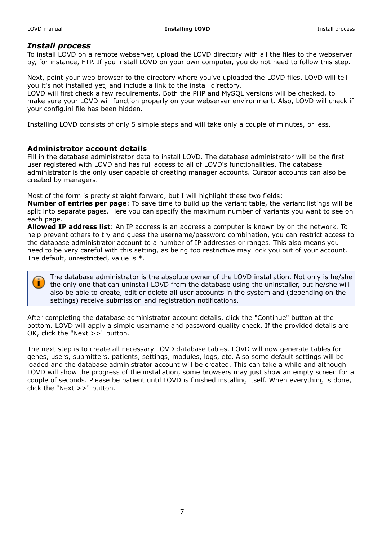# *Install process*

To install LOVD on a remote webserver, upload the LOVD directory with all the files to the webserver by, for instance, FTP. If you install LOVD on your own computer, you do not need to follow this step.

Next, point your web browser to the directory where you've uploaded the LOVD files. LOVD will tell you it's not installed yet, and include a link to the install directory.

LOVD will first check a few requirements. Both the PHP and MySQL versions will be checked, to make sure your LOVD will function properly on your webserver environment. Also, LOVD will check if your config.ini file has been hidden.

Installing LOVD consists of only 5 simple steps and will take only a couple of minutes, or less.

# **Administrator account details**

Fill in the database administrator data to install LOVD. The database administrator will be the first user registered with LOVD and has full access to all of LOVD's functionalities. The database administrator is the only user capable of creating manager accounts. Curator accounts can also be created by managers.

Most of the form is pretty straight forward, but I will highlight these two fields:

**Number of entries per page**: To save time to build up the variant table, the variant listings will be split into separate pages. Here you can specify the maximum number of variants you want to see on each page.

**Allowed IP address list**: An IP address is an address a computer is known by on the network. To help prevent others to try and guess the username/password combination, you can restrict access to the database administrator account to a number of IP addresses or ranges. This also means you need to be very careful with this setting, as being too restrictive may lock you out of your account. The default, unrestricted, value is \*.

The database administrator is the absolute owner of the LOVD installation. Not only is he/she the only one that can uninstall LOVD from the database using the uninstaller, but he/she will also be able to create, edit or delete all user accounts in the system and (depending on the settings) receive submission and registration notifications.

After completing the database administrator account details, click the "Continue" button at the bottom. LOVD will apply a simple username and password quality check. If the provided details are OK, click the "Next >>" button.

The next step is to create all necessary LOVD database tables. LOVD will now generate tables for genes, users, submitters, patients, settings, modules, logs, etc. Also some default settings will be loaded and the database administrator account will be created. This can take a while and although LOVD will show the progress of the installation, some browsers may just show an empty screen for a couple of seconds. Please be patient until LOVD is finished installing itself. When everything is done, click the "Next >>" button.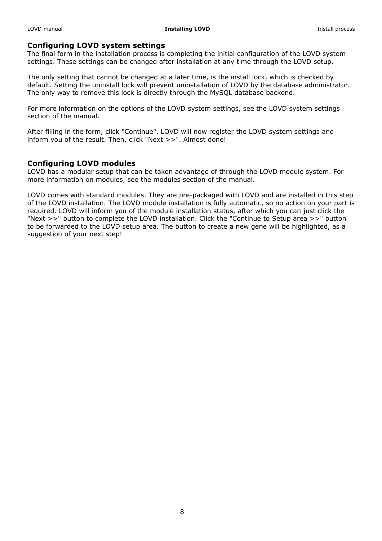#### **Configuring LOVD system settings**

The final form in the installation process is completing the initial configuration of the LOVD system settings. These settings can be changed after installation at any time through the LOVD setup.

The only setting that cannot be changed at a later time, is the install lock, which is checked by default. Setting the uninstall lock will prevent uninstallation of LOVD by the database administrator. The only way to remove this lock is directly through the MySQL database backend.

For more information on the options of the LOVD system settings, see the LOVD system settings section of the manual.

After filling in the form, click "Continue". LOVD will now register the LOVD system settings and inform you of the result. Then, click "Next >>". Almost done!

#### **Configuring LOVD modules**

LOVD has a modular setup that can be taken advantage of through the LOVD module system. For more information on modules, see the modules section of the manual.

LOVD comes with standard modules. They are pre-packaged with LOVD and are installed in this step of the LOVD installation. The LOVD module installation is fully automatic, so no action on your part is required. LOVD will inform you of the module installation status, after which you can just click the "Next >>" button to complete the LOVD installation. Click the "Continue to Setup area >>" button to be forwarded to the LOVD setup area. The button to create a new gene will be highlighted, as a suggestion of your next step!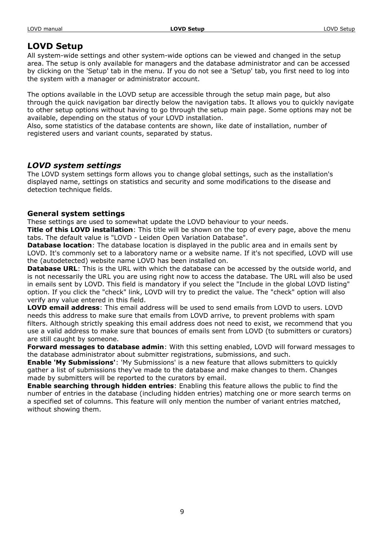# **LOVD Setup**

All system-wide settings and other system-wide options can be viewed and changed in the setup area. The setup is only available for managers and the database administrator and can be accessed by clicking on the 'Setup' tab in the menu. If you do not see a 'Setup' tab, you first need to log into the system with a manager or administrator account.

The options available in the LOVD setup are accessible through the setup main page, but also through the quick navigation bar directly below the navigation tabs. It allows you to quickly navigate to other setup options without having to go through the setup main page. Some options may not be available, depending on the status of your LOVD installation.

Also, some statistics of the database contents are shown, like date of installation, number of registered users and variant counts, separated by status.

# *LOVD system settings*

The LOVD system settings form allows you to change global settings, such as the installation's displayed name, settings on statistics and security and some modifications to the disease and detection technique fields.

# **General system settings**

These settings are used to somewhat update the LOVD behaviour to your needs.

**Title of this LOVD installation**: This title will be shown on the top of every page, above the menu tabs. The default value is "LOVD - Leiden Open Variation Database".

**Database location**: The database location is displayed in the public area and in emails sent by LOVD. It's commonly set to a laboratory name or a website name. If it's not specified, LOVD will use the (autodetected) website name LOVD has been installed on.

**Database URL:** This is the URL with which the database can be accessed by the outside world, and is not necessarily the URL you are using right now to access the database. The URL will also be used in emails sent by LOVD. This field is mandatory if you select the "Include in the global LOVD listing" option. If you click the "check" link, LOVD will try to predict the value. The "check" option will also verify any value entered in this field.

**LOVD email address**: This email address will be used to send emails from LOVD to users. LOVD needs this address to make sure that emails from LOVD arrive, to prevent problems with spam filters. Although strictly speaking this email address does not need to exist, we recommend that you use a valid address to make sure that bounces of emails sent from LOVD (to submitters or curators) are still caught by someone.

**Forward messages to database admin**: With this setting enabled, LOVD will forward messages to the database administrator about submitter registrations, submissions, and such.

**Enable 'My Submissions'**: 'My Submissions' is a new feature that allows submitters to quickly gather a list of submissions they've made to the database and make changes to them. Changes made by submitters will be reported to the curators by email.

**Enable searching through hidden entries**: Enabling this feature allows the public to find the number of entries in the database (including hidden entries) matching one or more search terms on a specified set of columns. This feature will only mention the number of variant entries matched, without showing them.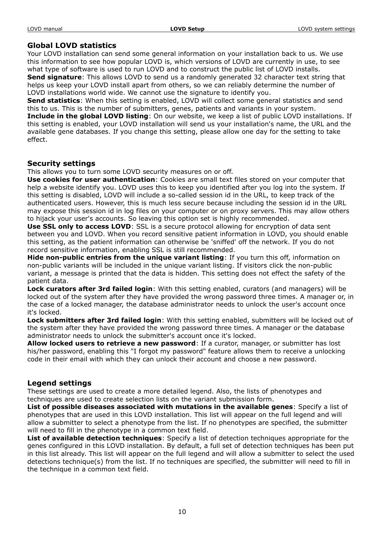# **Global LOVD statistics**

Your LOVD installation can send some general information on your installation back to us. We use this information to see how popular LOVD is, which versions of LOVD are currently in use, to see what type of software is used to run LOVD and to construct the public list of LOVD installs.

**Send signature**: This allows LOVD to send us a randomly generated 32 character text string that helps us keep your LOVD install apart from others, so we can reliably determine the number of LOVD installations world wide. We cannot use the signature to identify you.

**Send statistics**: When this setting is enabled, LOVD will collect some general statistics and send this to us. This is the number of submitters, genes, patients and variants in your system.

**Include in the global LOVD listing**: On our website, we keep a list of public LOVD installations. If this setting is enabled, your LOVD installation will send us your installation's name, the URL and the available gene databases. If you change this setting, please allow one day for the setting to take effect.

# **Security settings**

This allows you to turn some LOVD security measures on or off.

**Use cookies for user authentication**: Cookies are small text files stored on your computer that help a website identify you. LOVD uses this to keep you identified after you log into the system. If this setting is disabled, LOVD will include a so-called session id in the URL, to keep track of the authenticated users. However, this is much less secure because including the session id in the URL may expose this session id in log files on your computer or on proxy servers. This may allow others to hijack your user's accounts. So leaving this option set is highly recommended.

**Use SSL only to access LOVD**: SSL is a secure protocol allowing for encryption of data sent between you and LOVD. When you record sensitive patient information in LOVD, you should enable this setting, as the patient information can otherwise be 'sniffed' off the network. If you do not record sensitive information, enabling SSL is still recommended.

**Hide non-public entries from the unique variant listing:** If you turn this off, information on non-public variants will be included in the unique variant listing. If visitors click the non-public variant, a message is printed that the data is hidden. This setting does not effect the safety of the patient data.

**Lock curators after 3rd failed login**: With this setting enabled, curators (and managers) will be locked out of the system after they have provided the wrong password three times. A manager or, in the case of a locked manager, the database administrator needs to unlock the user's account once it's locked.

**Lock submitters after 3rd failed login**: With this setting enabled, submitters will be locked out of the system after they have provided the wrong password three times. A manager or the database administrator needs to unlock the submitter's account once it's locked.

**Allow locked users to retrieve a new password**: If a curator, manager, or submitter has lost his/her password, enabling this "I forgot my password" feature allows them to receive a unlocking code in their email with which they can unlock their account and choose a new password.

# **Legend settings**

These settings are used to create a more detailed legend. Also, the lists of phenotypes and techniques are used to create selection lists on the variant submission form.

**List of possible diseases associated with mutations in the available genes**: Specify a list of phenotypes that are used in this LOVD installation. This list will appear on the full legend and will allow a submitter to select a phenotype from the list. If no phenotypes are specified, the submitter will need to fill in the phenotype in a common text field.

**List of available detection techniques**: Specify a list of detection techniques appropriate for the genes configured in this LOVD installation. By default, a full set of detection techniques has been put in this list already. This list will appear on the full legend and will allow a submitter to select the used detections technique(s) from the list. If no techniques are specified, the submitter will need to fill in the technique in a common text field.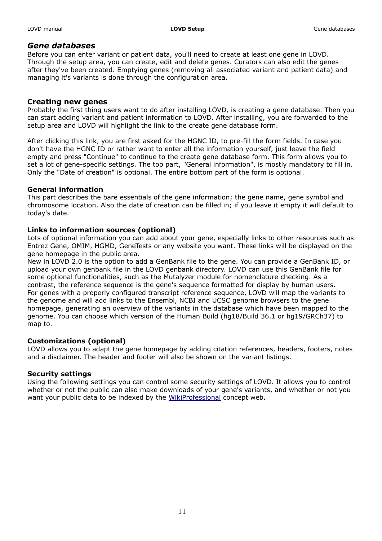# *Gene databases*

Before you can enter variant or patient data, you'll need to create at least one gene in LOVD. Through the setup area, you can create, edit and delete genes. Curators can also edit the genes after they've been created. Emptying genes (removing all associated variant and patient data) and managing it's variants is done through the configuration area.

# **Creating new genes**

Probably the first thing users want to do after installing LOVD, is creating a gene database. Then you can start adding variant and patient information to LOVD. After installing, you are forwarded to the setup area and LOVD will highlight the link to the create gene database form.

After clicking this link, you are first asked for the HGNC ID, to pre-fill the form fields. In case you don't have the HGNC ID or rather want to enter all the information yourself, just leave the field empty and press "Continue" to continue to the create gene database form. This form allows you to set a lot of gene-specific settings. The top part, "General information", is mostly mandatory to fill in. Only the "Date of creation" is optional. The entire bottom part of the form is optional.

#### **General information**

This part describes the bare essentials of the gene information; the gene name, gene symbol and chromosome location. Also the date of creation can be filled in; if you leave it empty it will default to today's date.

#### **Links to information sources (optional)**

Lots of optional information you can add about your gene, especially links to other resources such as Entrez Gene, OMIM, HGMD, GeneTests or any website you want. These links will be displayed on the gene homepage in the public area.

New in LOVD 2.0 is the option to add a GenBank file to the gene. You can provide a GenBank ID, or upload your own genbank file in the LOVD genbank directory. LOVD can use this GenBank file for some optional functionalities, such as the Mutalyzer module for nomenclature checking. As a contrast, the reference sequence is the gene's sequence formatted for display by human users. For genes with a properly configured transcript reference sequence, LOVD will map the variants to the genome and will add links to the Ensembl, NCBI and UCSC genome browsers to the gene homepage, generating an overview of the variants in the database which have been mapped to the genome. You can choose which version of the Human Build (hg18/Build 36.1 or hg19/GRCh37) to map to.

# **Customizations (optional)**

LOVD allows you to adapt the gene homepage by adding citation references, headers, footers, notes and a disclaimer. The header and footer will also be shown on the variant listings.

#### **Security settings**

Using the following settings you can control some security settings of LOVD. It allows you to control whether or not the public can also make downloads of your gene's variants, and whether or not you want your public data to be indexed by the [WikiProfessional](http://www.wikiprofessional.org/) concept web.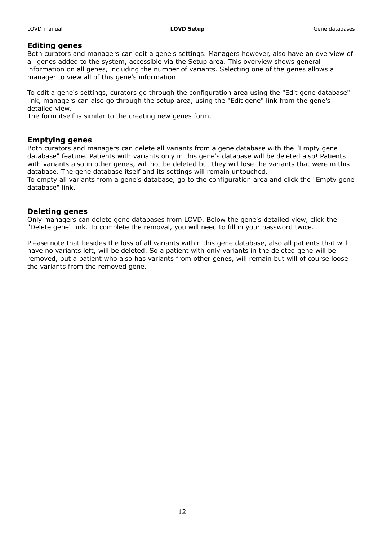#### **Editing genes**

Both curators and managers can edit a gene's settings. Managers however, also have an overview of all genes added to the system, accessible via the Setup area. This overview shows general information on all genes, including the number of variants. Selecting one of the genes allows a manager to view all of this gene's information.

To edit a gene's settings, curators go through the configuration area using the "Edit gene database" link, managers can also go through the setup area, using the "Edit gene" link from the gene's detailed view.

The form itself is similar to the creating new genes form.

# **Emptying genes**

Both curators and managers can delete all variants from a gene database with the "Empty gene database" feature. Patients with variants only in this gene's database will be deleted also! Patients with variants also in other genes, will not be deleted but they will lose the variants that were in this database. The gene database itself and its settings will remain untouched.

To empty all variants from a gene's database, go to the configuration area and click the "Empty gene database" link.

#### **Deleting genes**

Only managers can delete gene databases from LOVD. Below the gene's detailed view, click the "Delete gene" link. To complete the removal, you will need to fill in your password twice.

Please note that besides the loss of all variants within this gene database, also all patients that will have no variants left, will be deleted. So a patient with only variants in the deleted gene will be removed, but a patient who also has variants from other genes, will remain but will of course loose the variants from the removed gene.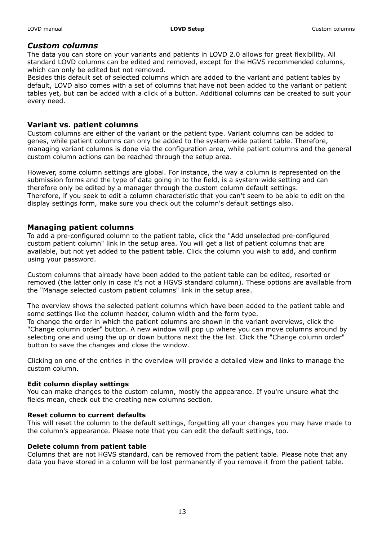# *Custom columns*

The data you can store on your variants and patients in LOVD 2.0 allows for great flexibility. All standard LOVD columns can be edited and removed, except for the HGVS recommended columns, which can only be edited but not removed.

Besides this default set of selected columns which are added to the variant and patient tables by default, LOVD also comes with a set of columns that have not been added to the variant or patient tables yet, but can be added with a click of a button. Additional columns can be created to suit your every need.

# **Variant vs. patient columns**

Custom columns are either of the variant or the patient type. Variant columns can be added to genes, while patient columns can only be added to the system-wide patient table. Therefore, managing variant columns is done via the configuration area, while patient columns and the general custom column actions can be reached through the setup area.

However, some column settings are global. For instance, the way a column is represented on the submission forms and the type of data going in to the field, is a system-wide setting and can therefore only be edited by a manager through the custom column default settings. Therefore, if you seek to edit a column characteristic that you can't seem to be able to edit on the display settings form, make sure you check out the column's default settings also.

# **Managing patient columns**

To add a pre-configured column to the patient table, click the "Add unselected pre-configured custom patient column" link in the setup area. You will get a list of patient columns that are available, but not yet added to the patient table. Click the column you wish to add, and confirm using your password.

Custom columns that already have been added to the patient table can be edited, resorted or removed (the latter only in case it's not a HGVS standard column). These options are available from the "Manage selected custom patient columns" link in the setup area.

The overview shows the selected patient columns which have been added to the patient table and some settings like the column header, column width and the form type.

To change the order in which the patient columns are shown in the variant overviews, click the "Change column order" button. A new window will pop up where you can move columns around by selecting one and using the up or down buttons next the the list. Click the "Change column order" button to save the changes and close the window.

Clicking on one of the entries in the overview will provide a detailed view and links to manage the custom column.

#### **Edit column display settings**

You can make changes to the custom column, mostly the appearance. If you're unsure what the fields mean, check out the creating new columns section.

#### **Reset column to current defaults**

This will reset the column to the default settings, forgetting all your changes you may have made to the column's appearance. Please note that you can edit the default settings, too.

# **Delete column from patient table**

Columns that are not HGVS standard, can be removed from the patient table. Please note that any data you have stored in a column will be lost permanently if you remove it from the patient table.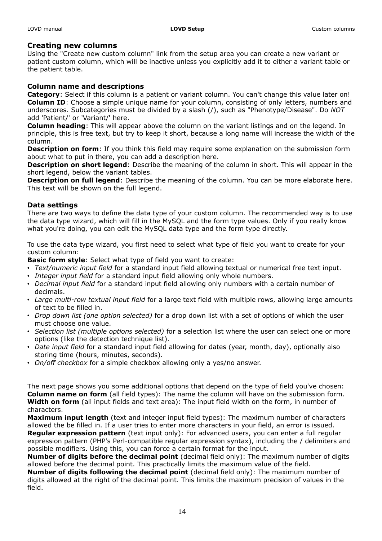# **Creating new columns**

Using the "Create new custom column" link from the setup area you can create a new variant or patient custom column, which will be inactive unless you explicitly add it to either a variant table or the patient table.

#### **Column name and descriptions**

**Category**: Select if this column is a patient or variant column. You can't change this value later on! **Column ID:** Choose a simple unique name for your column, consisting of only letters, numbers and underscores. Subcategories must be divided by a slash (/), such as "Phenotype/Disease". Do *NOT* add 'Patient/' or 'Variant/' here.

**Column heading**: This will appear above the column on the variant listings and on the legend. In principle, this is free text, but try to keep it short, because a long name will increase the width of the column.

**Description on form**: If you think this field may require some explanation on the submission form about what to put in there, you can add a description here.

**Description on short legend**: Describe the meaning of the column in short. This will appear in the short legend, below the variant tables.

**Description on full legend**: Describe the meaning of the column. You can be more elaborate here. This text will be shown on the full legend.

#### **Data settings**

There are two ways to define the data type of your custom column. The recommended way is to use the data type wizard, which will fill in the MySQL and the form type values. Only if you really know what you're doing, you can edit the MySQL data type and the form type directly.

To use the data type wizard, you first need to select what type of field you want to create for your custom column:

**Basic form style**: Select what type of field you want to create:

- *Text/numeric input field* for a standard input field allowing textual or numerical free text input.
- *Integer input field* for a standard input field allowing only whole numbers.
- *Decimal input field* for a standard input field allowing only numbers with a certain number of decimals.
- *Large multi-row textual input field* for a large text field with multiple rows, allowing large amounts of text to be filled in.
- *Drop down list (one option selected)* for a drop down list with a set of options of which the user must choose one value.
- *Selection list (multiple options selected)* for a selection list where the user can select one or more options (like the detection technique list).
- *Date input field* for a standard input field allowing for dates (year, month, day), optionally also storing time (hours, minutes, seconds).
- *On/off checkbox* for a simple checkbox allowing only a yes/no answer.

The next page shows you some additional options that depend on the type of field you've chosen: **Column name on form** (all field types): The name the column will have on the submission form. **Width on form** (all input fields and text area): The input field width on the form, in number of characters.

**Maximum input length** (text and integer input field types): The maximum number of characters allowed the be filled in. If a user tries to enter more characters in your field, an error is issued. **Regular expression pattern** (text input only): For advanced users, you can enter a full regular expression pattern (PHP's Perl-compatible regular expression syntax), including the / delimiters and possible modifiers. Using this, you can force a certain format for the input.

**Number of digits before the decimal point** (decimal field only): The maximum number of digits allowed before the decimal point. This practically limits the maximum value of the field.

**Number of digits following the decimal point** (decimal field only): The maximum number of digits allowed at the right of the decimal point. This limits the maximum precision of values in the field.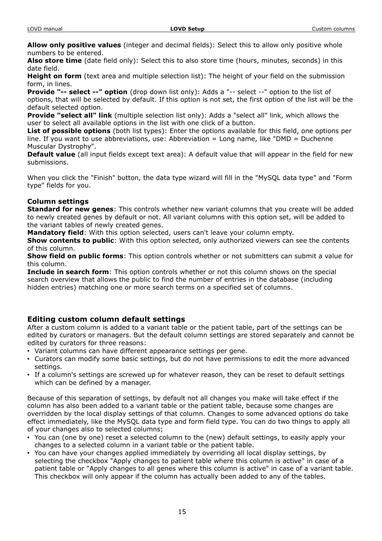**Allow only positive values** (integer and decimal fields): Select this to allow only positive whole numbers to be entered.

**Also store time** (date field only): Select this to also store time (hours, minutes, seconds) in this date field.

**Height on form** (text area and multiple selection list): The height of your field on the submission form, in lines.

**Provide "-- select --" option** (drop down list only): Adds a "-- select --" option to the list of options, that will be selected by default. If this option is not set, the first option of the list will be the default selected option.

**Provide "select all" link** (multiple selection list only): Adds a "select all" link, which allows the user to select all available options in the list with one click of a button.

**List of possible options** (both list types): Enter the options available for this field, one options per line. If you want to use abbreviations, use: Abbreviation = Long name, like "DMD = Duchenne Muscular Dystrophy".

**Default value** (all input fields except text area): A default value that will appear in the field for new submissions.

When you click the "Finish" button, the data type wizard will fill in the "MySQL data type" and "Form type" fields for you.

# **Column settings**

**Standard for new genes**: This controls whether new variant columns that you create will be added to newly created genes by default or not. All variant columns with this option set, will be added to the variant tables of newly created genes.

**Mandatory field**: With this option selected, users can't leave your column empty.

**Show contents to public**: With this option selected, only authorized viewers can see the contents of this column.

**Show field on public forms**: This option controls whether or not submitters can submit a value for this column.

**Include in search form**: This option controls whether or not this column shows on the special search overview that allows the public to find the number of entries in the database (including hidden entries) matching one or more search terms on a specified set of columns.

# **Editing custom column default settings**

After a custom column is added to a variant table or the patient table, part of the settings can be edited by curators or managers. But the default column settings are stored separately and cannot be edited by curators for three reasons:

- Variant columns can have different appearance settings per gene.
- Curators can modify some basic settings, but do not have permissions to edit the more advanced settings.
- If a column's settings are screwed up for whatever reason, they can be reset to default settings which can be defined by a manager.

Because of this separation of settings, by default not all changes you make will take effect if the column has also been added to a variant table or the patient table, because some changes are overridden by the local display settings of that column. Changes to some advanced options do take effect immediately, like the MySQL data type and form field type. You can do two things to apply all of your changes also to selected columns;

- You can (one by one) reset a selected column to the (new) default settings, to easily apply your changes to a selected column in a variant table or the patient table.
- You can have your changes applied immediately by overriding all local display settings, by selecting the checkbox "Apply changes to patient table where this column is active" in case of a patient table or "Apply changes to all genes where this column is active" in case of a variant table. This checkbox will only appear if the column has actually been added to any of the tables.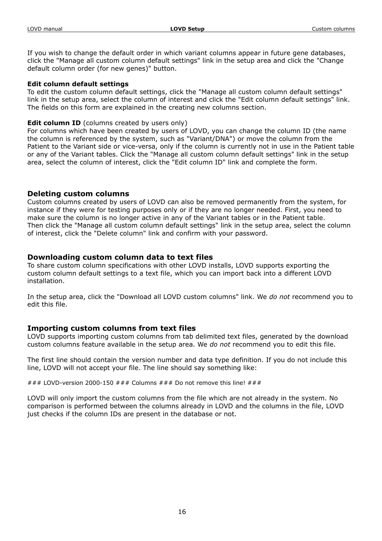If you wish to change the default order in which variant columns appear in future gene databases, click the "Manage all custom column default settings" link in the setup area and click the "Change default column order (for new genes)" button.

#### **Edit column default settings**

To edit the custom column default settings, click the "Manage all custom column default settings" link in the setup area, select the column of interest and click the "Edit column default settings" link. The fields on this form are explained in the creating new columns section.

#### **Edit column ID** (columns created by users only)

For columns which have been created by users of LOVD, you can change the column ID (the name the column is referenced by the system, such as "Variant/DNA") or move the column from the Patient to the Variant side or vice-versa, only if the column is currently not in use in the Patient table or any of the Variant tables. Click the "Manage all custom column default settings" link in the setup area, select the column of interest, click the "Edit column ID" link and complete the form.

# **Deleting custom columns**

Custom columns created by users of LOVD can also be removed permanently from the system, for instance if they were for testing purposes only or if they are no longer needed. First, you need to make sure the column is no longer active in any of the Variant tables or in the Patient table. Then click the "Manage all custom column default settings" link in the setup area, select the column of interest, click the "Delete column" link and confirm with your password.

# **Downloading custom column data to text files**

To share custom column specifications with other LOVD installs, LOVD supports exporting the custom column default settings to a text file, which you can import back into a different LOVD installation.

In the setup area, click the "Download all LOVD custom columns" link. We *do not* recommend you to edit this file.

# **Importing custom columns from text files**

LOVD supports importing custom columns from tab delimited text files, generated by the download custom columns feature available in the setup area. We *do not* recommend you to edit this file.

The first line should contain the version number and data type definition. If you do not include this line, LOVD will not accept your file. The line should say something like:

### LOVD-version 2000-150 ### Columns ### Do not remove this line! ###

LOVD will only import the custom columns from the file which are not already in the system. No comparison is performed between the columns already in LOVD and the columns in the file, LOVD just checks if the column IDs are present in the database or not.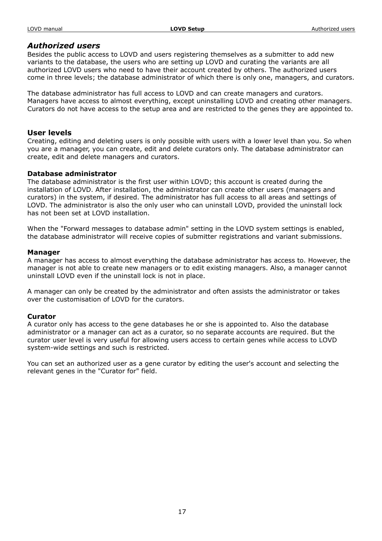#### *Authorized users*

Besides the public access to LOVD and users registering themselves as a submitter to add new variants to the database, the users who are setting up LOVD and curating the variants are all authorized LOVD users who need to have their account created by others. The authorized users come in three levels; the database administrator of which there is only one, managers, and curators.

The database administrator has full access to LOVD and can create managers and curators. Managers have access to almost everything, except uninstalling LOVD and creating other managers. Curators do not have access to the setup area and are restricted to the genes they are appointed to.

#### **User levels**

Creating, editing and deleting users is only possible with users with a lower level than you. So when you are a manager, you can create, edit and delete curators only. The database administrator can create, edit and delete managers and curators.

#### **Database administrator**

The database administrator is the first user within LOVD; this account is created during the installation of LOVD. After installation, the administrator can create other users (managers and curators) in the system, if desired. The administrator has full access to all areas and settings of LOVD. The administrator is also the only user who can uninstall LOVD, provided the uninstall lock has not been set at LOVD installation.

When the "Forward messages to database admin" setting in the LOVD system settings is enabled, the database administrator will receive copies of submitter registrations and variant submissions.

#### **Manager**

A manager has access to almost everything the database administrator has access to. However, the manager is not able to create new managers or to edit existing managers. Also, a manager cannot uninstall LOVD even if the uninstall lock is not in place.

A manager can only be created by the administrator and often assists the administrator or takes over the customisation of LOVD for the curators.

#### **Curator**

A curator only has access to the gene databases he or she is appointed to. Also the database administrator or a manager can act as a curator, so no separate accounts are required. But the curator user level is very useful for allowing users access to certain genes while access to LOVD system-wide settings and such is restricted.

You can set an authorized user as a gene curator by editing the user's account and selecting the relevant genes in the "Curator for" field.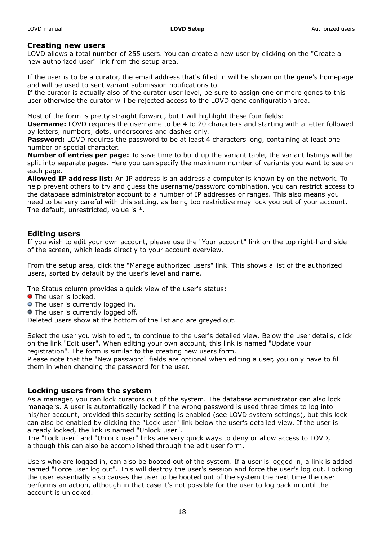#### **Creating new users**

LOVD allows a total number of 255 users. You can create a new user by clicking on the "Create a new authorized user" link from the setup area.

If the user is to be a curator, the email address that's filled in will be shown on the gene's homepage and will be used to sent variant submission notifications to.

If the curator is actually also of the curator user level, be sure to assign one or more genes to this user otherwise the curator will be rejected access to the LOVD gene configuration area.

Most of the form is pretty straight forward, but I will highlight these four fields:

**Username:** LOVD requires the username to be 4 to 20 characters and starting with a letter followed by letters, numbers, dots, underscores and dashes only.

**Password:** LOVD requires the password to be at least 4 characters long, containing at least one number or special character.

**Number of entries per page:** To save time to build up the variant table, the variant listings will be split into separate pages. Here you can specify the maximum number of variants you want to see on each page.

**Allowed IP address list:** An IP address is an address a computer is known by on the network. To help prevent others to try and guess the username/password combination, you can restrict access to the database administrator account to a number of IP addresses or ranges. This also means you need to be very careful with this setting, as being too restrictive may lock you out of your account. The default, unrestricted, value is \*.

#### **Editing users**

If you wish to edit your own account, please use the "Your account" link on the top right-hand side of the screen, which leads directly to your account overview.

From the setup area, click the "Manage authorized users" link. This shows a list of the authorized users, sorted by default by the user's level and name.

The Status column provides a quick view of the user's status:

- **•** The user is locked.
- **O** The user is currently logged in.
- The user is currently logged off.

Deleted users show at the bottom of the list and are greyed out.

Select the user you wish to edit, to continue to the user's detailed view. Below the user details, click on the link "Edit user". When editing your own account, this link is named "Update your registration". The form is similar to the creating new users form.

Please note that the "New password" fields are optional when editing a user, you only have to fill them in when changing the password for the user.

# **Locking users from the system**

As a manager, you can lock curators out of the system. The database administrator can also lock managers. A user is automatically locked if the wrong password is used three times to log into his/her account, provided this security setting is enabled (see LOVD system settings), but this lock can also be enabled by clicking the "Lock user" link below the user's detailed view. If the user is already locked, the link is named "Unlock user".

The "Lock user" and "Unlock user" links are very quick ways to deny or allow access to LOVD, although this can also be accomplished through the edit user form.

Users who are logged in, can also be booted out of the system. If a user is logged in, a link is added named "Force user log out". This will destroy the user's session and force the user's log out. Locking the user essentially also causes the user to be booted out of the system the next time the user performs an action, although in that case it's not possible for the user to log back in until the account is unlocked.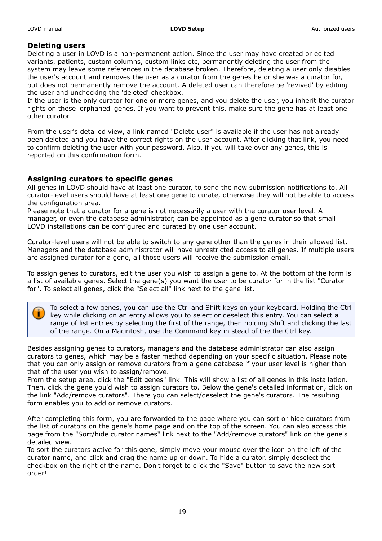# **Deleting users**

Deleting a user in LOVD is a non-permanent action. Since the user may have created or edited variants, patients, custom columns, custom links etc, permanently deleting the user from the system may leave some references in the database broken. Therefore, deleting a user only disables the user's account and removes the user as a curator from the genes he or she was a curator for, but does not permanently remove the account. A deleted user can therefore be 'revived' by editing the user and unchecking the 'deleted' checkbox.

If the user is the only curator for one or more genes, and you delete the user, you inherit the curator rights on these 'orphaned' genes. If you want to prevent this, make sure the gene has at least one other curator.

From the user's detailed view, a link named "Delete user" is available if the user has not already been deleted and you have the correct rights on the user account. After clicking that link, you need to confirm deleting the user with your password. Also, if you will take over any genes, this is reported on this confirmation form.

# **Assigning curators to specific genes**

All genes in LOVD should have at least one curator, to send the new submission notifications to. All curator-level users should have at least one gene to curate, otherwise they will not be able to access the configuration area.

Please note that a curator for a gene is not necessarily a user with the curator user level. A manager, or even the database administrator, can be appointed as a gene curator so that small LOVD installations can be configured and curated by one user account.

Curator-level users will not be able to switch to any gene other than the genes in their allowed list. Managers and the database administrator will have unrestricted access to all genes. If multiple users are assigned curator for a gene, all those users will receive the submission email.

To assign genes to curators, edit the user you wish to assign a gene to. At the bottom of the form is a list of available genes. Select the gene(s) you want the user to be curator for in the list "Curator for". To select all genes, click the "Select all" link next to the gene list.

To select a few genes, you can use the Ctrl and Shift keys on your keyboard. Holding the Ctrl key while clicking on an entry allows you to select or deselect this entry. You can select a range of list entries by selecting the first of the range, then holding Shift and clicking the last of the range. On a Macintosh, use the Command key in stead of the the Ctrl key.

Besides assigning genes to curators, managers and the database administrator can also assign curators to genes, which may be a faster method depending on your specific situation. Please note that you can only assign or remove curators from a gene database if your user level is higher than that of the user you wish to assign/remove.

From the setup area, click the "Edit genes" link. This will show a list of all genes in this installation. Then, click the gene you'd wish to assign curators to. Below the gene's detailed information, click on the link "Add/remove curators". There you can select/deselect the gene's curators. The resulting form enables you to add or remove curators.

After completing this form, you are forwarded to the page where you can sort or hide curators from the list of curators on the gene's home page and on the top of the screen. You can also access this page from the "Sort/hide curator names" link next to the "Add/remove curators" link on the gene's detailed view.

To sort the curators active for this gene, simply move your mouse over the icon on the left of the curator name, and click and drag the name up or down. To hide a curator, simply deselect the checkbox on the right of the name. Don't forget to click the "Save" button to save the new sort order!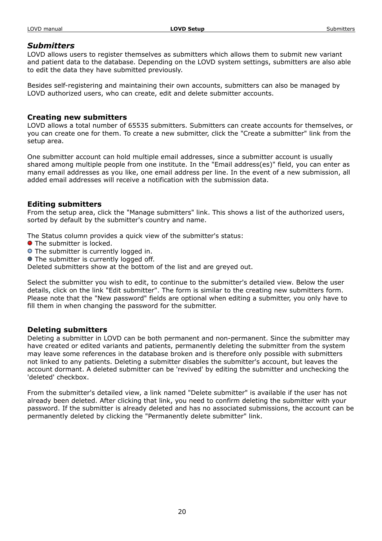#### LOVD manual **LOVD Setup LOVD Setup COVD Setup** Submitters

# *Submitters*

LOVD allows users to register themselves as submitters which allows them to submit new variant and patient data to the database. Depending on the LOVD system settings, submitters are also able to edit the data they have submitted previously.

Besides self-registering and maintaining their own accounts, submitters can also be managed by LOVD authorized users, who can create, edit and delete submitter accounts.

# **Creating new submitters**

LOVD allows a total number of 65535 submitters. Submitters can create accounts for themselves, or you can create one for them. To create a new submitter, click the "Create a submitter" link from the setup area.

One submitter account can hold multiple email addresses, since a submitter account is usually shared among multiple people from one institute. In the "Email address(es)" field, you can enter as many email addresses as you like, one email address per line. In the event of a new submission, all added email addresses will receive a notification with the submission data.

# **Editing submitters**

From the setup area, click the "Manage submitters" link. This shows a list of the authorized users, sorted by default by the submitter's country and name.

The Status column provides a quick view of the submitter's status:

- **O** The submitter is locked.
- **O** The submitter is currently logged in.
- **•** The submitter is currently logged off.

Deleted submitters show at the bottom of the list and are greyed out.

Select the submitter you wish to edit, to continue to the submitter's detailed view. Below the user details, click on the link "Edit submitter". The form is similar to the creating new submitters form. Please note that the "New password" fields are optional when editing a submitter, you only have to fill them in when changing the password for the submitter.

# **Deleting submitters**

Deleting a submitter in LOVD can be both permanent and non-permanent. Since the submitter may have created or edited variants and patients, permanently deleting the submitter from the system may leave some references in the database broken and is therefore only possible with submitters not linked to any patients. Deleting a submitter disables the submitter's account, but leaves the account dormant. A deleted submitter can be 'revived' by editing the submitter and unchecking the 'deleted' checkbox.

From the submitter's detailed view, a link named "Delete submitter" is available if the user has not already been deleted. After clicking that link, you need to confirm deleting the submitter with your password. If the submitter is already deleted and has no associated submissions, the account can be permanently deleted by clicking the "Permanently delete submitter" link.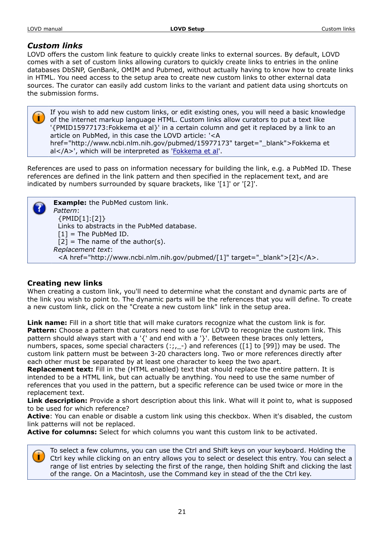# *Custom links*

LOVD offers the custom link feature to quickly create links to external sources. By default, LOVD comes with a set of custom links allowing curators to quickly create links to entries in the online databases DbSNP, GenBank, OMIM and Pubmed, without actually having to know how to create links in HTML. You need access to the setup area to create new custom links to other external data sources. The curator can easily add custom links to the variant and patient data using shortcuts on the submission forms.

If you wish to add new custom links, or edit existing ones, you will need a basic knowledge of the internet markup language HTML. Custom links allow curators to put a text like '{PMID15977173:Fokkema et al}' in a certain column and get it replaced by a link to an article on PubMed, in this case the LOVD article: '<A href="http://www.ncbi.nlm.nih.gov/pubmed/15977173" target="\_blank">Fokkema et al</A>', which will be interpreted as '[Fokkema et al'](http://www.ncbi.nlm.nih.gov/pubmed/15977173).

References are used to pass on information necessary for building the link, e.g. a PubMed ID. These references are defined in the link pattern and then specified in the replacement text, and are indicated by numbers surrounded by square brackets, like '[1]' or '[2]'.

**Example:** the PubMed custom link. *Pattern*: {PMID[1]:[2]} Links to abstracts in the PubMed database.  $[1]$  = The PubMed ID.  $[2]$  = The name of the author(s). *Replacement text*: <A href="http://www.ncbi.nlm.nih.gov/pubmed/[1]" target="\_blank">[2]</A>.

# **Creating new links**

When creating a custom link, you'll need to determine what the constant and dynamic parts are of the link you wish to point to. The dynamic parts will be the references that you will define. To create a new custom link, click on the "Create a new custom link" link in the setup area.

**Link name:** Fill in a short title that will make curators recognize what the custom link is for. Pattern: Choose a pattern that curators need to use for LOVD to recognize the custom link. This pattern should always start with a '{' and end with a '}'. Between these braces only letters, numbers, spaces, some special characters (:;,\_-) and references ([1] to [99]) may be used. The custom link pattern must be between 3-20 characters long. Two or more references directly after each other must be separated by at least one character to keep the two apart.

**Replacement text:** Fill in the (HTML enabled) text that should replace the entire pattern. It is intended to be a HTML link, but can actually be anything. You need to use the same number of references that you used in the pattern, but a specific reference can be used twice or more in the replacement text.

**Link description:** Provide a short description about this link. What will it point to, what is supposed to be used for which reference?

**Active**: You can enable or disable a custom link using this checkbox. When it's disabled, the custom link patterns will not be replaced.

**Active for columns:** Select for which columns you want this custom link to be activated.



To select a few columns, you can use the Ctrl and Shift keys on your keyboard. Holding the Ctrl key while clicking on an entry allows you to select or deselect this entry. You can select a range of list entries by selecting the first of the range, then holding Shift and clicking the last of the range. On a Macintosh, use the Command key in stead of the the Ctrl key.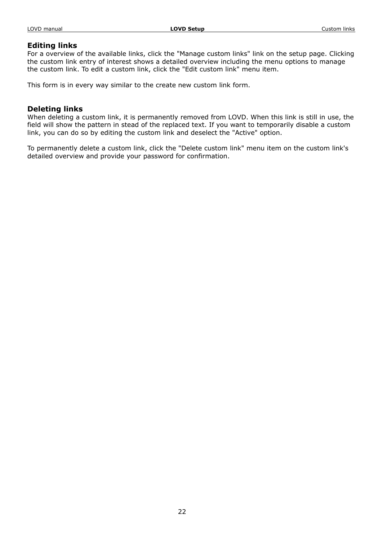#### LOVD manual **LOVD Setup LOVD Setup LOVD Setup Custom links**

#### **Editing links**

For a overview of the available links, click the "Manage custom links" link on the setup page. Clicking the custom link entry of interest shows a detailed overview including the menu options to manage the custom link. To edit a custom link, click the "Edit custom link" menu item.

This form is in every way similar to the create new custom link form.

# **Deleting links**

When deleting a custom link, it is permanently removed from LOVD. When this link is still in use, the field will show the pattern in stead of the replaced text. If you want to temporarily disable a custom link, you can do so by editing the custom link and deselect the "Active" option.

To permanently delete a custom link, click the "Delete custom link" menu item on the custom link's detailed overview and provide your password for confirmation.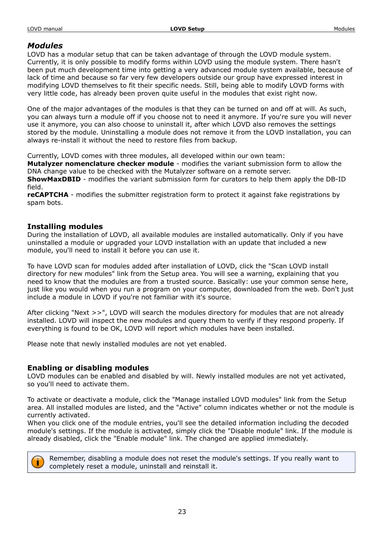# *Modules*

LOVD has a modular setup that can be taken advantage of through the LOVD module system. Currently, it is only possible to modify forms within LOVD using the module system. There hasn't been put much development time into getting a very advanced module system available, because of lack of time and because so far very few developers outside our group have expressed interest in modifying LOVD themselves to fit their specific needs. Still, being able to modify LOVD forms with very little code, has already been proven quite useful in the modules that exist right now.

One of the major advantages of the modules is that they can be turned on and off at will. As such, you can always turn a module off if you choose not to need it anymore. If you're sure you will never use it anymore, you can also choose to uninstall it, after which LOVD also removes the settings stored by the module. Uninstalling a module does not remove it from the LOVD installation, you can always re-install it without the need to restore files from backup.

Currently, LOVD comes with three modules, all developed within our own team:

**Mutalyzer nomenclature checker module** - modifies the variant submission form to allow the DNA change value to be checked with the Mutalyzer software on a remote server. **ShowMaxDBID** - modifies the variant submission form for curators to help them apply the DB-ID field.

**reCAPTCHA** - modifies the submitter registration form to protect it against fake registrations by spam bots.

# **Installing modules**

During the installation of LOVD, all available modules are installed automatically. Only if you have uninstalled a module or upgraded your LOVD installation with an update that included a new module, you'll need to install it before you can use it.

To have LOVD scan for modules added after installation of LOVD, click the "Scan LOVD install directory for new modules" link from the Setup area. You will see a warning, explaining that you need to know that the modules are from a trusted source. Basically: use your common sense here, just like you would when you run a program on your computer, downloaded from the web. Don't just include a module in LOVD if you're not familiar with it's source.

After clicking "Next >>", LOVD will search the modules directory for modules that are not already installed. LOVD will inspect the new modules and query them to verify if they respond properly. If everything is found to be OK, LOVD will report which modules have been installed.

Please note that newly installed modules are not yet enabled.

# **Enabling or disabling modules**

LOVD modules can be enabled and disabled by will. Newly installed modules are not yet activated, so you'll need to activate them.

To activate or deactivate a module, click the "Manage installed LOVD modules" link from the Setup area. All installed modules are listed, and the "Active" column indicates whether or not the module is currently activated.

When you click one of the module entries, you'll see the detailed information including the decoded module's settings. If the module is activated, simply click the "Disable module" link. If the module is already disabled, click the "Enable module" link. The changed are applied immediately.



Remember, disabling a module does not reset the module's settings. If you really want to completely reset a module, uninstall and reinstall it.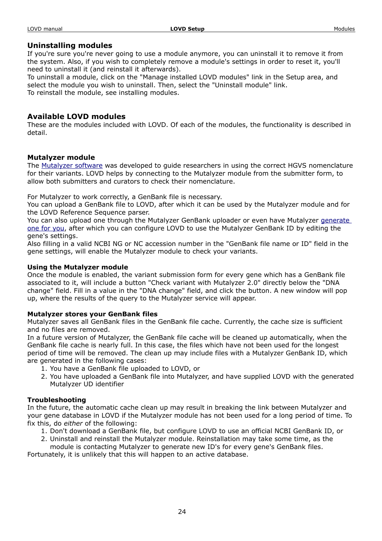#### LOVD manual **LOVD Setup LOVD Setup LOVD Setup Modules** Modules

# **Uninstalling modules**

If you're sure you're never going to use a module anymore, you can uninstall it to remove it from the system. Also, if you wish to completely remove a module's settings in order to reset it, you'll need to uninstall it (and reinstall it afterwards).

To uninstall a module, click on the "Manage installed LOVD modules" link in the Setup area, and select the module you wish to uninstall. Then, select the "Uninstall module" link. To reinstall the module, see installing modules.

# **Available LOVD modules**

These are the modules included with LOVD. Of each of the modules, the functionality is described in detail.

# **Mutalyzer module**

The [Mutalyzer software](http://www.mutalyzer.nl/) was developed to guide researchers in using the correct HGVS nomenclature for their variants. LOVD helps by connecting to the Mutalyzer module from the submitter form, to allow both submitters and curators to check their nomenclature.

For Mutalyzer to work correctly, a GenBank file is necessary.

You can upload a GenBank file to LOVD, after which it can be used by the Mutalyzer module and for the LOVD Reference Sequence parser.

You can also upload one through the Mutalyzer GenBank uploader or even have Mutalyzer [generate](http://www.mutalyzer.nl/2.0/upload) [one for you,](http://www.mutalyzer.nl/2.0/upload) after which you can configure LOVD to use the Mutalyzer GenBank ID by editing the gene's settings.

Also filling in a valid NCBI NG or NC accession number in the "GenBank file name or ID" field in the gene settings, will enable the Mutalyzer module to check your variants.

#### **Using the Mutalyzer module**

Once the module is enabled, the variant submission form for every gene which has a GenBank file associated to it, will include a button "Check variant with Mutalyzer 2.0" directly below the "DNA change" field. Fill in a value in the "DNA change" field, and click the button. A new window will pop up, where the results of the query to the Mutalyzer service will appear.

#### **Mutalyzer stores your GenBank files**

Mutalyzer saves all GenBank files in the GenBank file cache. Currently, the cache size is sufficient and no files are removed.

In a future version of Mutalyzer, the GenBank file cache will be cleaned up automatically, when the GenBank file cache is nearly full. In this case, the files which have not been used for the longest period of time will be removed. The clean up may include files with a Mutalyzer GenBank ID, which are generated in the following cases:

- 1. You have a GenBank file uploaded to LOVD, or
- 2. You have uploaded a GenBank file into Mutalyzer, and have supplied LOVD with the generated Mutalyzer UD identifier

#### **Troubleshooting**

In the future, the automatic cache clean up may result in breaking the link between Mutalyzer and your gene database in LOVD if the Mutalyzer module has not been used for a long period of time. To fix this, do *either* of the following:

- 1. Don't download a GenBank file, but configure LOVD to use an official NCBI GenBank ID, or
- 2. Uninstall and reinstall the Mutalyzer module. Reinstallation may take some time, as the module is contacting Mutalyzer to generate new ID's for every gene's GenBank files.

Fortunately, it is unlikely that this will happen to an active database.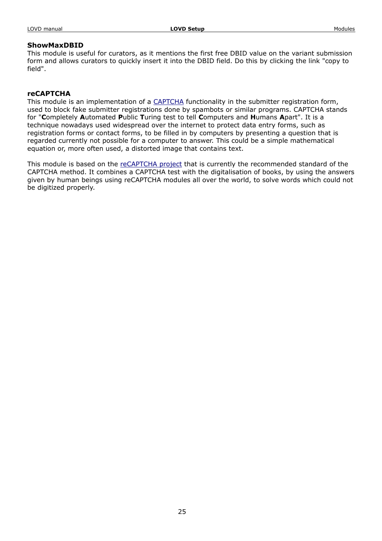# **ShowMaxDBID**

This module is useful for curators, as it mentions the first free DBID value on the variant submission form and allows curators to quickly insert it into the DBID field. Do this by clicking the link "copy to field".

# **reCAPTCHA**

This module is an implementation of a [CAPTCHA](http://en.wikipedia.org/wiki/Captcha) functionality in the submitter registration form, used to block fake submitter registrations done by spambots or similar programs. CAPTCHA stands for "**C**ompletely **A**utomated **P**ublic **T**uring test to tell **C**omputers and **H**umans **A**part". It is a technique nowadays used widespread over the internet to protect data entry forms, such as registration forms or contact forms, to be filled in by computers by presenting a question that is regarded currently not possible for a computer to answer. This could be a simple mathematical equation or, more often used, a distorted image that contains text.

This module is based on the [reCAPTCHA project](http://recaptcha.net/) that is currently the recommended standard of the CAPTCHA method. It combines a CAPTCHA test with the digitalisation of books, by using the answers given by human beings using reCAPTCHA modules all over the world, to solve words which could not be digitized properly.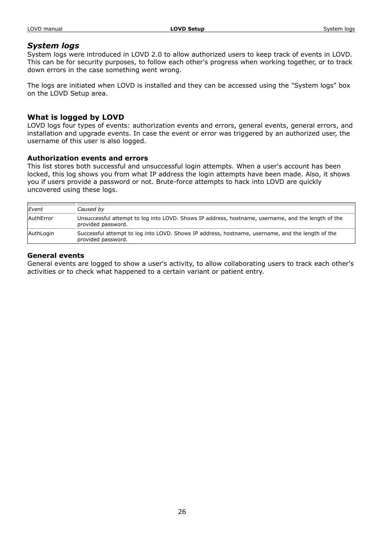#### LOVD manual **LOVD Setup LOVD Setup LOVD Setup** System logs

# *System logs*

System logs were introduced in LOVD 2.0 to allow authorized users to keep track of events in LOVD. This can be for security purposes, to follow each other's progress when working together, or to track down errors in the case something went wrong.

The logs are initiated when LOVD is installed and they can be accessed using the "System logs" box on the LOVD Setup area.

# **What is logged by LOVD**

LOVD logs four types of events: authorization events and errors, general events, general errors, and installation and upgrade events. In case the event or error was triggered by an authorized user, the username of this user is also logged.

# **Authorization events and errors**

This list stores both successful and unsuccessful login attempts. When a user's account has been locked, this log shows you from what IP address the login attempts have been made. Also, it shows you if users provide a password or not. Brute-force attempts to hack into LOVD are quickly uncovered using these logs.

| Event     | Caused by                                                                                                                |
|-----------|--------------------------------------------------------------------------------------------------------------------------|
| AuthError | Unsuccessful attempt to log into LOVD. Shows IP address, hostname, username, and the length of the<br>provided password. |
| AuthLogin | Successful attempt to log into LOVD. Shows IP address, hostname, username, and the length of the<br>provided password.   |

# **General events**

General events are logged to show a user's activity, to allow collaborating users to track each other's activities or to check what happened to a certain variant or patient entry.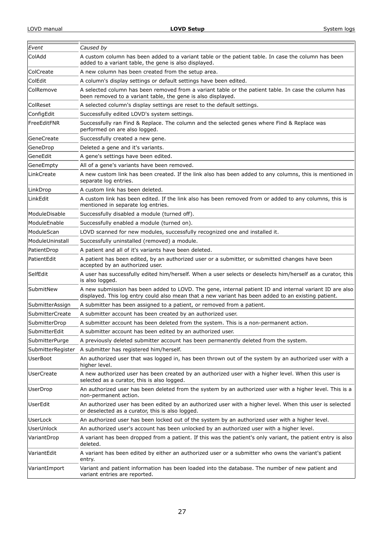| Event             |                                                                                                                                                                                                                |  |
|-------------------|----------------------------------------------------------------------------------------------------------------------------------------------------------------------------------------------------------------|--|
|                   | Caused by                                                                                                                                                                                                      |  |
| ColAdd            | A custom column has been added to a variant table or the patient table. In case the column has been<br>added to a variant table, the gene is also displayed.                                                   |  |
| ColCreate         | A new column has been created from the setup area.                                                                                                                                                             |  |
| ColEdit           | A column's display settings or default settings have been edited.                                                                                                                                              |  |
| ColRemove         | A selected column has been removed from a variant table or the patient table. In case the column has<br>been removed to a variant table, the gene is also displayed.                                           |  |
| ColReset          | A selected column's display settings are reset to the default settings.                                                                                                                                        |  |
| ConfigEdit        | Successfully edited LOVD's system settings.                                                                                                                                                                    |  |
| FreeEditFNR       | Successfully ran Find & Replace. The column and the selected genes where Find & Replace was<br>performed on are also logged.                                                                                   |  |
| GeneCreate        | Successfully created a new gene.                                                                                                                                                                               |  |
| GeneDrop          | Deleted a gene and it's variants.                                                                                                                                                                              |  |
| GeneEdit          | A gene's settings have been edited.                                                                                                                                                                            |  |
| GeneEmpty         | All of a gene's variants have been removed.                                                                                                                                                                    |  |
| LinkCreate        | A new custom link has been created. If the link also has been added to any columns, this is mentioned in<br>separate log entries.                                                                              |  |
| LinkDrop          | A custom link has been deleted.                                                                                                                                                                                |  |
| LinkEdit          | A custom link has been edited. If the link also has been removed from or added to any columns, this is<br>mentioned in separate log entries.                                                                   |  |
| ModuleDisable     | Successfully disabled a module (turned off).                                                                                                                                                                   |  |
| ModuleEnable      | Successfully enabled a module (turned on).                                                                                                                                                                     |  |
| ModuleScan        | LOVD scanned for new modules, successfully recognized one and installed it.                                                                                                                                    |  |
| ModuleUninstall   | Successfully uninstalled (removed) a module.                                                                                                                                                                   |  |
| PatientDrop       | A patient and all of it's variants have been deleted.                                                                                                                                                          |  |
| PatientEdit       | A patient has been edited, by an authorized user or a submitter, or submitted changes have been<br>accepted by an authorized user.                                                                             |  |
| SelfEdit          | A user has successfully edited him/herself. When a user selects or deselects him/herself as a curator, this<br>is also logged.                                                                                 |  |
| SubmitNew         | A new submission has been added to LOVD. The gene, internal patient ID and internal variant ID are also<br>displayed. This log entry could also mean that a new variant has been added to an existing patient. |  |
| SubmitterAssign   | A submitter has been assigned to a patient, or removed from a patient.                                                                                                                                         |  |
| SubmitterCreate   | A submitter account has been created by an authorized user.                                                                                                                                                    |  |
| SubmitterDrop     | A submitter account has been deleted from the system. This is a non-permanent action.                                                                                                                          |  |
| SubmitterEdit     | A submitter account has been edited by an authorized user.                                                                                                                                                     |  |
| SubmitterPurge    | A previously deleted submitter account has been permanently deleted from the system.                                                                                                                           |  |
| SubmitterRegister | A submitter has registered him/herself.                                                                                                                                                                        |  |
| UserBoot          | An authorized user that was logged in, has been thrown out of the system by an authorized user with a<br>higher level.                                                                                         |  |
| <b>UserCreate</b> | A new authorized user has been created by an authorized user with a higher level. When this user is<br>selected as a curator, this is also logged.                                                             |  |
| UserDrop          | An authorized user has been deleted from the system by an authorized user with a higher level. This is a<br>non-permanent action.                                                                              |  |
| UserEdit          | An authorized user has been edited by an authorized user with a higher level. When this user is selected<br>or deselected as a curator, this is also logged.                                                   |  |
| UserLock          | An authorized user has been locked out of the system by an authorized user with a higher level.                                                                                                                |  |
| UserUnlock        | An authorized user's account has been unlocked by an authorized user with a higher level.                                                                                                                      |  |
| VariantDrop       | A variant has been dropped from a patient. If this was the patient's only variant, the patient entry is also<br>deleted.                                                                                       |  |
| VariantEdit       | A variant has been edited by either an authorized user or a submitter who owns the variant's patient<br>entry.                                                                                                 |  |
| VariantImport     | Variant and patient information has been loaded into the database. The number of new patient and<br>variant entries are reported.                                                                              |  |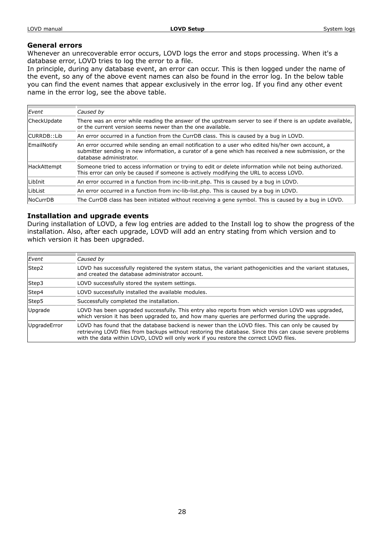#### LOVD manual **LOVD Setup LOVD Setup LOVD Setup** System logs

#### **General errors**

Whenever an unrecoverable error occurs, LOVD logs the error and stops processing. When it's a database error, LOVD tries to log the error to a file.

In principle, during any database event, an error can occur. This is then logged under the name of the event, so any of the above event names can also be found in the error log. In the below table you can find the event names that appear exclusively in the error log. If you find any other event name in the error log, see the above table.

| Event           | Caused by                                                                                                                                                                                                                             |
|-----------------|---------------------------------------------------------------------------------------------------------------------------------------------------------------------------------------------------------------------------------------|
| CheckUpdate     | There was an error while reading the answer of the upstream server to see if there is an update available,<br>or the current version seems newer than the one available.                                                              |
| CURRDB::Lib     | An error occurred in a function from the CurrDB class. This is caused by a bug in LOVD.                                                                                                                                               |
| EmailNotify     | An error occurred while sending an email notification to a user who edited his/her own account, a<br>submitter sending in new information, a curator of a gene which has received a new submission, or the<br>database administrator. |
| HackAttempt     | Someone tried to access information or trying to edit or delete information while not being authorized.<br>This error can only be caused if someone is actively modifying the URL to access LOVD.                                     |
| LibInit         | An error occurred in a function from inc-lib-init.php. This is caused by a bug in LOVD.                                                                                                                                               |
| LibList         | An error occurred in a function from inc-lib-list.php. This is caused by a bug in LOVD.                                                                                                                                               |
| <b>NoCurrDB</b> | The CurrDB class has been initiated without receiving a gene symbol. This is caused by a bug in LOVD.                                                                                                                                 |

#### **Installation and upgrade events**

During installation of LOVD, a few log entries are added to the Install log to show the progress of the installation. Also, after each upgrade, LOVD will add an entry stating from which version and to which version it has been upgraded.

| Event        | Caused by                                                                                                                                                                                                                                                                                             |
|--------------|-------------------------------------------------------------------------------------------------------------------------------------------------------------------------------------------------------------------------------------------------------------------------------------------------------|
| Step2        | LOVD has successfully registered the system status, the variant pathogenicities and the variant statuses,<br>and created the database administrator account.                                                                                                                                          |
| Step3        | LOVD successfully stored the system settings.                                                                                                                                                                                                                                                         |
| Step4        | LOVD successfully installed the available modules.                                                                                                                                                                                                                                                    |
| Step5        | Successfully completed the installation.                                                                                                                                                                                                                                                              |
| Upgrade      | LOVD has been upgraded successfully. This entry also reports from which version LOVD was upgraded,<br>which version it has been upgraded to, and how many queries are performed during the upgrade.                                                                                                   |
| UpgradeError | LOVD has found that the database backend is newer than the LOVD files. This can only be caused by<br>retrieving LOVD files from backups without restoring the database. Since this can cause severe problems<br>with the data within LOVD, LOVD will only work if you restore the correct LOVD files. |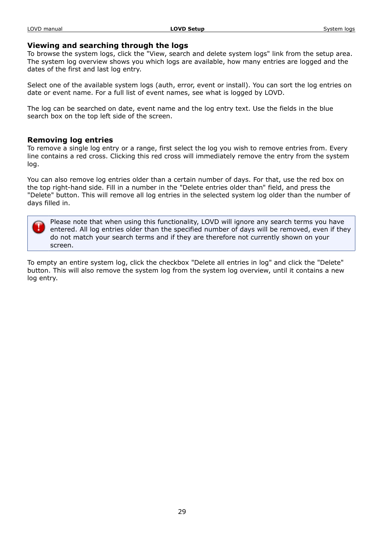# **Viewing and searching through the logs**

To browse the system logs, click the "View, search and delete system logs" link from the setup area. The system log overview shows you which logs are available, how many entries are logged and the dates of the first and last log entry.

Select one of the available system logs (auth, error, event or install). You can sort the log entries on date or event name. For a full list of event names, see what is logged by LOVD.

The log can be searched on date, event name and the log entry text. Use the fields in the blue search box on the top left side of the screen.

# **Removing log entries**

To remove a single log entry or a range, first select the log you wish to remove entries from. Every line contains a red cross. Clicking this red cross will immediately remove the entry from the system log.

You can also remove log entries older than a certain number of days. For that, use the red box on the top right-hand side. Fill in a number in the "Delete entries older than" field, and press the "Delete" button. This will remove all log entries in the selected system log older than the number of days filled in.

Please note that when using this functionality, LOVD will ignore any search terms you have entered. All log entries older than the specified number of days will be removed, even if they do not match your search terms and if they are therefore not currently shown on your screen.

To empty an entire system log, click the checkbox "Delete all entries in log" and click the "Delete" button. This will also remove the system log from the system log overview, until it contains a new log entry.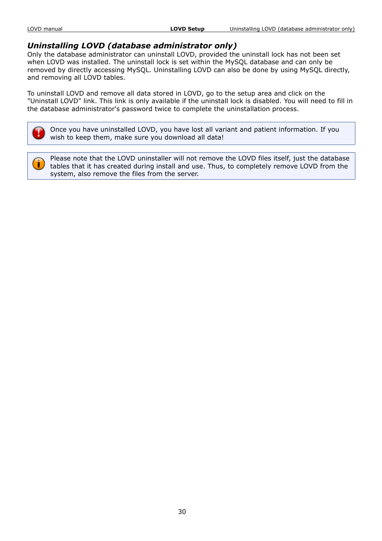# *Uninstalling LOVD (database administrator only)*

Only the database administrator can uninstall LOVD, provided the uninstall lock has not been set when LOVD was installed. The uninstall lock is set within the MySQL database and can only be removed by directly accessing MySQL. Uninstalling LOVD can also be done by using MySQL directly, and removing all LOVD tables.

To uninstall LOVD and remove all data stored in LOVD, go to the setup area and click on the "Uninstall LOVD" link. This link is only available if the uninstall lock is disabled. You will need to fill in the database administrator's password twice to complete the uninstallation process.

Once you have uninstalled LOVD, you have lost all variant and patient information. If you wish to keep them, make sure you download all data!

r

Please note that the LOVD uninstaller will not remove the LOVD files itself, just the database tables that it has created during install and use. Thus, to completely remove LOVD from the system, also remove the files from the server.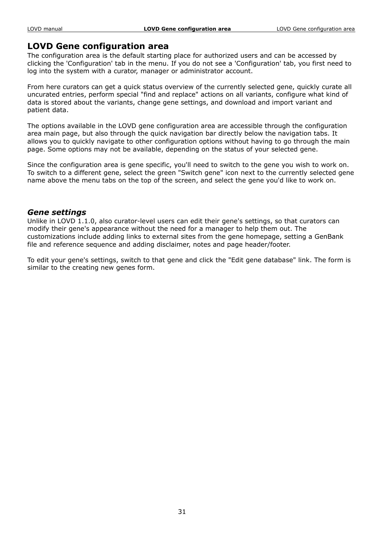# **LOVD Gene configuration area**

The configuration area is the default starting place for authorized users and can be accessed by clicking the 'Configuration' tab in the menu. If you do not see a 'Configuration' tab, you first need to log into the system with a curator, manager or administrator account.

From here curators can get a quick status overview of the currently selected gene, quickly curate all uncurated entries, perform special "find and replace" actions on all variants, configure what kind of data is stored about the variants, change gene settings, and download and import variant and patient data.

The options available in the LOVD gene configuration area are accessible through the configuration area main page, but also through the quick navigation bar directly below the navigation tabs. It allows you to quickly navigate to other configuration options without having to go through the main page. Some options may not be available, depending on the status of your selected gene.

Since the configuration area is gene specific, you'll need to switch to the gene you wish to work on. To switch to a different gene, select the green "Switch gene" icon next to the currently selected gene name above the menu tabs on the top of the screen, and select the gene you'd like to work on.

# *Gene settings*

Unlike in LOVD 1.1.0, also curator-level users can edit their gene's settings, so that curators can modify their gene's appearance without the need for a manager to help them out. The customizations include adding links to external sites from the gene homepage, setting a GenBank file and reference sequence and adding disclaimer, notes and page header/footer.

To edit your gene's settings, switch to that gene and click the "Edit gene database" link. The form is similar to the creating new genes form.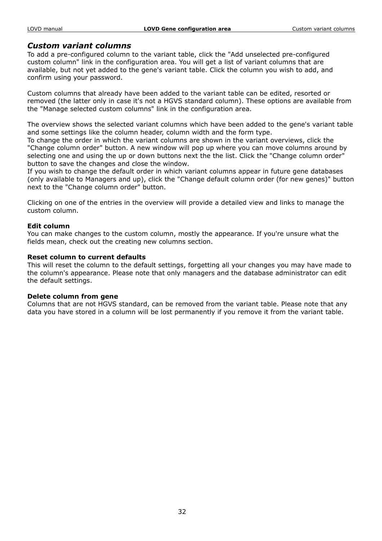# *Custom variant columns*

To add a pre-configured column to the variant table, click the "Add unselected pre-configured custom column" link in the configuration area. You will get a list of variant columns that are available, but not yet added to the gene's variant table. Click the column you wish to add, and confirm using your password.

Custom columns that already have been added to the variant table can be edited, resorted or removed (the latter only in case it's not a HGVS standard column). These options are available from the "Manage selected custom columns" link in the configuration area.

The overview shows the selected variant columns which have been added to the gene's variant table and some settings like the column header, column width and the form type.

To change the order in which the variant columns are shown in the variant overviews, click the "Change column order" button. A new window will pop up where you can move columns around by selecting one and using the up or down buttons next the the list. Click the "Change column order" button to save the changes and close the window.

If you wish to change the default order in which variant columns appear in future gene databases (only available to Managers and up), click the "Change default column order (for new genes)" button next to the "Change column order" button.

Clicking on one of the entries in the overview will provide a detailed view and links to manage the custom column.

#### **Edit column**

You can make changes to the custom column, mostly the appearance. If you're unsure what the fields mean, check out the creating new columns section.

#### **Reset column to current defaults**

This will reset the column to the default settings, forgetting all your changes you may have made to the column's appearance. Please note that only managers and the database administrator can edit the default settings.

#### **Delete column from gene**

Columns that are not HGVS standard, can be removed from the variant table. Please note that any data you have stored in a column will be lost permanently if you remove it from the variant table.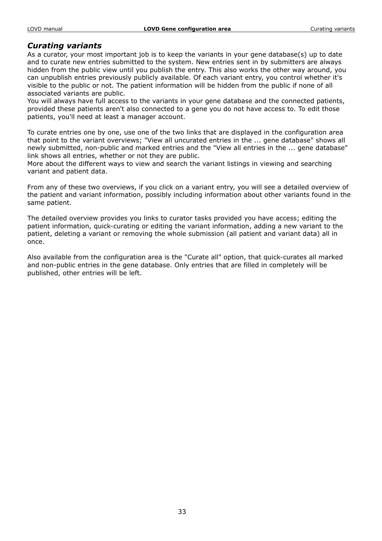# *Curating variants*

As a curator, your most important job is to keep the variants in your gene database(s) up to date and to curate new entries submitted to the system. New entries sent in by submitters are always hidden from the public view until you publish the entry. This also works the other way around, you can unpublish entries previously publicly available. Of each variant entry, you control whether it's visible to the public or not. The patient information will be hidden from the public if none of all associated variants are public.

You will always have full access to the variants in your gene database and the connected patients, provided these patients aren't also connected to a gene you do not have access to. To edit those patients, you'll need at least a manager account.

To curate entries one by one, use one of the two links that are displayed in the configuration area that point to the variant overviews; "View all uncurated entries in the ... gene database" shows all newly submitted, non-public and marked entries and the "View all entries in the ... gene database" link shows all entries, whether or not they are public.

More about the different ways to view and search the variant listings in viewing and searching variant and patient data.

From any of these two overviews, if you click on a variant entry, you will see a detailed overview of the patient and variant information, possibly including information about other variants found in the same patient.

The detailed overview provides you links to curator tasks provided you have access; editing the patient information, quick-curating or editing the variant information, adding a new variant to the patient, deleting a variant or removing the whole submission (all patient and variant data) all in once.

Also available from the configuration area is the "Curate all" option, that quick-curates all marked and non-public entries in the gene database. Only entries that are filled in completely will be published, other entries will be left.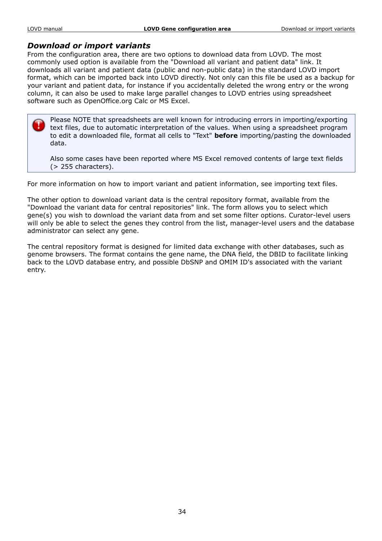# *Download or import variants*

From the configuration area, there are two options to download data from LOVD. The most commonly used option is available from the "Download all variant and patient data" link. It downloads all variant and patient data (public and non-public data) in the standard LOVD import format, which can be imported back into LOVD directly. Not only can this file be used as a backup for your variant and patient data, for instance if you accidentally deleted the wrong entry or the wrong column, it can also be used to make large parallel changes to LOVD entries using spreadsheet software such as OpenOffice.org Calc or MS Excel.

Please NOTE that spreadsheets are well known for introducing errors in importing/exporting text files, due to automatic interpretation of the values. When using a spreadsheet program to edit a downloaded file, format all cells to "Text" **before** importing/pasting the downloaded data.

Also some cases have been reported where MS Excel removed contents of large text fields (> 255 characters).

For more information on how to import variant and patient information, see importing text files.

The other option to download variant data is the central repository format, available from the "Download the variant data for central repositories" link. The form allows you to select which gene(s) you wish to download the variant data from and set some filter options. Curator-level users will only be able to select the genes they control from the list, manager-level users and the database administrator can select any gene.

The central repository format is designed for limited data exchange with other databases, such as genome browsers. The format contains the gene name, the DNA field, the DBID to facilitate linking back to the LOVD database entry, and possible DbSNP and OMIM ID's associated with the variant entry.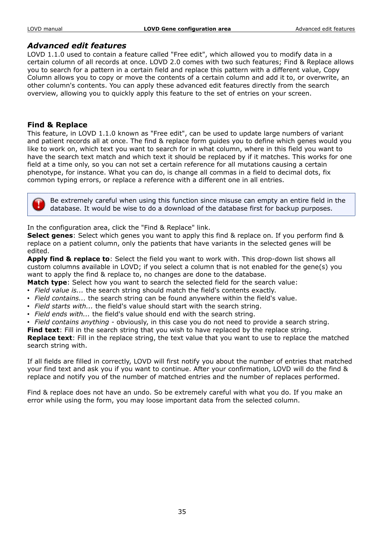# *Advanced edit features*

LOVD 1.1.0 used to contain a feature called "Free edit", which allowed you to modify data in a certain column of all records at once. LOVD 2.0 comes with two such features; Find & Replace allows you to search for a pattern in a certain field and replace this pattern with a different value, Copy Column allows you to copy or move the contents of a certain column and add it to, or overwrite, an other column's contents. You can apply these advanced edit features directly from the search overview, allowing you to quickly apply this feature to the set of entries on your screen.

# **Find & Replace**

This feature, in LOVD 1.1.0 known as "Free edit", can be used to update large numbers of variant and patient records all at once. The find & replace form guides you to define which genes would you like to work on, which text you want to search for in what column, where in this field you want to have the search text match and which text it should be replaced by if it matches. This works for one field at a time only, so you can not set a certain reference for all mutations causing a certain phenotype, for instance. What you can do, is change all commas in a field to decimal dots, fix common typing errors, or replace a reference with a different one in all entries.

Be extremely careful when using this function since misuse can empty an entire field in the database. It would be wise to do a download of the database first for backup purposes.

In the configuration area, click the "Find & Replace" link.

**Select genes**: Select which genes you want to apply this find & replace on. If you perform find & replace on a patient column, only the patients that have variants in the selected genes will be edited.

**Apply find & replace to**: Select the field you want to work with. This drop-down list shows all custom columns available in LOVD; if you select a column that is not enabled for the gene(s) you want to apply the find & replace to, no changes are done to the database.

**Match type**: Select how you want to search the selected field for the search value:

- *Field value is...* the search string should match the field's contents exactly.
- *Field contains...* the search string can be found anywhere within the field's value.
- *Field starts with...* the field's value should start with the search string.
- *Field ends with...* the field's value should end with the search string.
- *Field contains anything* obviously, in this case you do not need to provide a search string.

**Find text**: Fill in the search string that you wish to have replaced by the replace string.

**Replace text**: Fill in the replace string, the text value that you want to use to replace the matched search string with.

If all fields are filled in correctly, LOVD will first notify you about the number of entries that matched your find text and ask you if you want to continue. After your confirmation, LOVD will do the find & replace and notify you of the number of matched entries and the number of replaces performed.

Find & replace does not have an undo. So be extremely careful with what you do. If you make an error while using the form, you may loose important data from the selected column.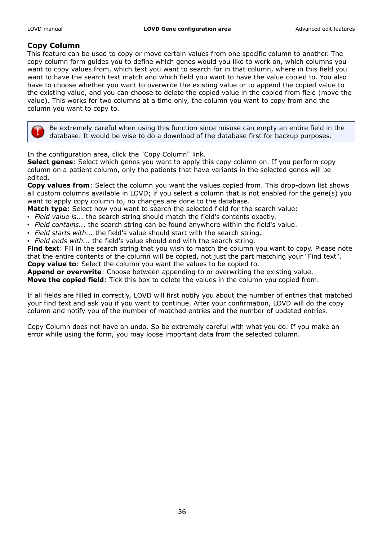# **Copy Column**

This feature can be used to copy or move certain values from one specific column to another. The copy column form guides you to define which genes would you like to work on, which columns you want to copy values from, which text you want to search for in that column, where in this field you want to have the search text match and which field you want to have the value copied to. You also have to choose whether you want to overwrite the existing value or to append the copied value to the existing value, and you can choose to delete the copied value in the copied from field (move the value). This works for two columns at a time only, the column you want to copy from and the column you want to copy to.

Be extremely careful when using this function since misuse can empty an entire field in the database. It would be wise to do a download of the database first for backup purposes.

In the configuration area, click the "Copy Column" link.

**Select genes**: Select which genes you want to apply this copy column on. If you perform copy column on a patient column, only the patients that have variants in the selected genes will be edited.

**Copy values from**: Select the column you want the values copied from. This drop-down list shows all custom columns available in LOVD; if you select a column that is not enabled for the gene(s) you want to apply copy column to, no changes are done to the database.

**Match type**: Select how you want to search the selected field for the search value:

- *Field value is...* the search string should match the field's contents exactly.
- *Field contains...* the search string can be found anywhere within the field's value.
- *Field starts with...* the field's value should start with the search string.
- *Field ends with...* the field's value should end with the search string.

**Find text**: Fill in the search string that you wish to match the column you want to copy. Please note that the entire contents of the column will be copied, not just the part matching your "Find text". **Copy value to**: Select the column you want the values to be copied to.

**Append or overwrite**: Choose between appending to or overwriting the existing value.

**Move the copied field**: Tick this box to delete the values in the column you copied from.

If all fields are filled in correctly, LOVD will first notify you about the number of entries that matched your find text and ask you if you want to continue. After your confirmation, LOVD will do the copy column and notify you of the number of matched entries and the number of updated entries.

Copy Column does not have an undo. So be extremely careful with what you do. If you make an error while using the form, you may loose important data from the selected column.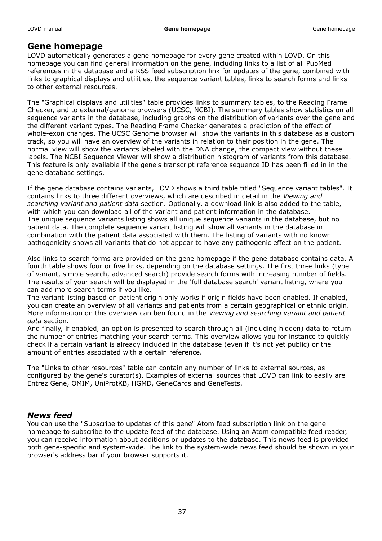# **Gene homepage**

LOVD automatically generates a gene homepage for every gene created within LOVD. On this homepage you can find general information on the gene, including links to a list of all PubMed references in the database and a RSS feed subscription link for updates of the gene, combined with links to graphical displays and utilities, the sequence variant tables, links to search forms and links to other external resources.

The "Graphical displays and utilities" table provides links to summary tables, to the Reading Frame Checker, and to external/genome browsers (UCSC, NCBI). The summary tables show statistics on all sequence variants in the database, including graphs on the distribution of variants over the gene and the different variant types. The Reading Frame Checker generates a prediction of the effect of whole-exon changes. The UCSC Genome browser will show the variants in this database as a custom track, so you will have an overview of the variants in relation to their position in the gene. The normal view will show the variants labeled with the DNA change, the compact view without these labels. The NCBI Sequence Viewer will show a distribution histogram of variants from this database. This feature is only available if the gene's transcript reference sequence ID has been filled in in the gene database settings.

If the gene database contains variants, LOVD shows a third table titled "Sequence variant tables". It contains links to three different overviews, which are described in detail in the *Viewing and searching variant and patient data* section. Optionally, a download link is also added to the table, with which you can download all of the variant and patient information in the database. The unique sequence variants listing shows all unique sequence variants in the database, but no patient data. The complete sequence variant listing will show all variants in the database in combination with the patient data associated with them. The listing of variants with no known pathogenicity shows all variants that do not appear to have any pathogenic effect on the patient.

Also links to search forms are provided on the gene homepage if the gene database contains data. A fourth table shows four or five links, depending on the database settings. The first three links (type of variant, simple search, advanced search) provide search forms with increasing number of fields. The results of your search will be displayed in the 'full database search' variant listing, where you can add more search terms if you like.

The variant listing based on patient origin only works if origin fields have been enabled. If enabled, you can create an overview of all variants and patients from a certain geographical or ethnic origin. More information on this overview can ben found in the *Viewing and searching variant and patient data* section.

And finally, if enabled, an option is presented to search through all (including hidden) data to return the number of entries matching your search terms. This overview allows you for instance to quickly check if a certain variant is already included in the database (even if it's not yet public) or the amount of entries associated with a certain reference.

The "Links to other resources" table can contain any number of links to external sources, as configured by the gene's curator(s). Examples of external sources that LOVD can link to easily are Entrez Gene, OMIM, UniProtKB, HGMD, GeneCards and GeneTests.

# *News feed*

You can use the "Subscribe to updates of this gene" Atom feed subscription link on the gene homepage to subscribe to the update feed of the database. Using an Atom compatible feed reader, you can receive information about additions or updates to the database. This news feed is provided both gene-specific and system-wide. The link to the system-wide news feed should be shown in your browser's address bar if your browser supports it.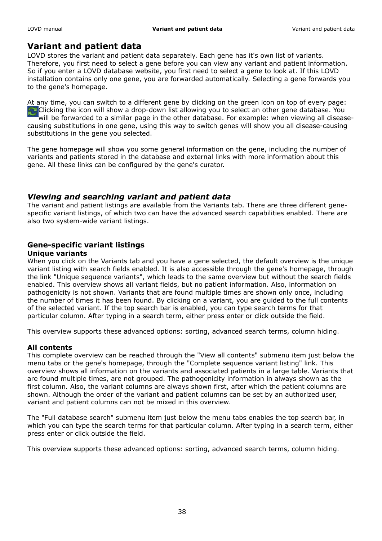# **Variant and patient data**

LOVD stores the variant and patient data separately. Each gene has it's own list of variants. Therefore, you first need to select a gene before you can view any variant and patient information. So if you enter a LOVD database website, you first need to select a gene to look at. If this LOVD installation contains only one gene, you are forwarded automatically. Selecting a gene forwards you to the gene's homepage.

At any time, you can switch to a different gene by clicking on the green icon on top of every page: Clicking the icon will show a drop-down list allowing you to select an other gene database. You will be forwarded to a similar page in the other database. For example: when viewing all diseasecausing substitutions in one gene, using this way to switch genes will show you all disease-causing substitutions in the gene you selected.

The gene homepage will show you some general information on the gene, including the number of variants and patients stored in the database and external links with more information about this gene. All these links can be configured by the gene's curator.

# *Viewing and searching variant and patient data*

The variant and patient listings are available from the Variants tab. There are three different genespecific variant listings, of which two can have the advanced search capabilities enabled. There are also two system-wide variant listings.

# **Gene-specific variant listings**

# **Unique variants**

When you click on the Variants tab and you have a gene selected, the default overview is the unique variant listing with search fields enabled. It is also accessible through the gene's homepage, through the link "Unique sequence variants", which leads to the same overview but without the search fields enabled. This overview shows all variant fields, but no patient information. Also, information on pathogenicity is not shown. Variants that are found multiple times are shown only once, including the number of times it has been found. By clicking on a variant, you are guided to the full contents of the selected variant. If the top search bar is enabled, you can type search terms for that particular column. After typing in a search term, either press enter or click outside the field.

This overview supports these advanced options: sorting, advanced search terms, column hiding.

# **All contents**

This complete overview can be reached through the "View all contents" submenu item just below the menu tabs or the gene's homepage, through the "Complete sequence variant listing" link. This overview shows all information on the variants and associated patients in a large table. Variants that are found multiple times, are not grouped. The pathogenicity information in always shown as the first column. Also, the variant columns are always shown first, after which the patient columns are shown. Although the order of the variant and patient columns can be set by an authorized user, variant and patient columns can not be mixed in this overview.

The "Full database search" submenu item just below the menu tabs enables the top search bar, in which you can type the search terms for that particular column. After typing in a search term, either press enter or click outside the field.

This overview supports these advanced options: sorting, advanced search terms, column hiding.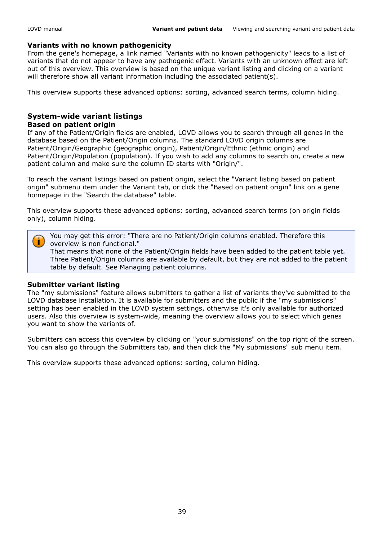# **Variants with no known pathogenicity**

From the gene's homepage, a link named "Variants with no known pathogenicity" leads to a list of variants that do not appear to have any pathogenic effect. Variants with an unknown effect are left out of this overview. This overview is based on the unique variant listing and clicking on a variant will therefore show all variant information including the associated patient(s).

This overview supports these advanced options: sorting, advanced search terms, column hiding.

# **System-wide variant listings**

#### **Based on patient origin**

If any of the Patient/Origin fields are enabled, LOVD allows you to search through all genes in the database based on the Patient/Origin columns. The standard LOVD origin columns are Patient/Origin/Geographic (geographic origin), Patient/Origin/Ethnic (ethnic origin) and Patient/Origin/Population (population). If you wish to add any columns to search on, create a new patient column and make sure the column ID starts with "Origin/".

To reach the variant listings based on patient origin, select the "Variant listing based on patient origin" submenu item under the Variant tab, or click the "Based on patient origin" link on a gene homepage in the "Search the database" table.

This overview supports these advanced options: sorting, advanced search terms (on origin fields only), column hiding.

You may get this error: "There are no Patient/Origin columns enabled. Therefore this overview is non functional."

That means that none of the Patient/Origin fields have been added to the patient table yet. Three Patient/Origin columns are available by default, but they are not added to the patient table by default. See Managing patient columns.

#### **Submitter variant listing**

The "my submissions" feature allows submitters to gather a list of variants they've submitted to the LOVD database installation. It is available for submitters and the public if the "my submissions" setting has been enabled in the LOVD system settings, otherwise it's only available for authorized users. Also this overview is system-wide, meaning the overview allows you to select which genes you want to show the variants of.

Submitters can access this overview by clicking on "your submissions" on the top right of the screen. You can also go through the Submitters tab, and then click the "My submissions" sub menu item.

This overview supports these advanced options: sorting, column hiding.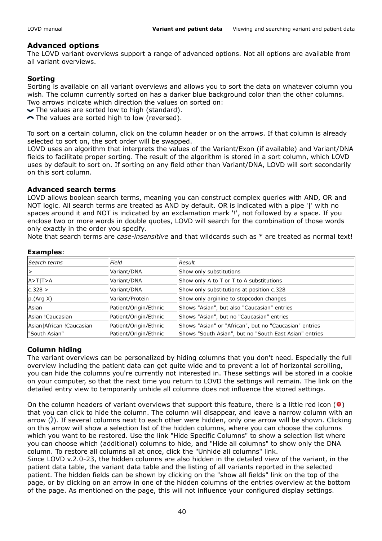# **Advanced options**

The LOVD variant overviews support a range of advanced options. Not all options are available from all variant overviews.

# **Sorting**

Sorting is available on all variant overviews and allows you to sort the data on whatever column you wish. The column currently sorted on has a darker blue background color than the other columns. Two arrows indicate which direction the values on sorted on:

- $\blacktriangleright$  The values are sorted low to high (standard).
- The values are sorted high to low (reversed).

To sort on a certain column, click on the column header or on the arrows. If that column is already selected to sort on, the sort order will be swapped.

LOVD uses an algorithm that interprets the values of the Variant/Exon (if available) and Variant/DNA fields to facilitate proper sorting. The result of the algorithm is stored in a sort column, which LOVD uses by default to sort on. If sorting on any field other than Variant/DNA, LOVD will sort secondarily on this sort column.

# **Advanced search terms**

LOVD allows boolean search terms, meaning you can construct complex queries with AND, OR and NOT logic. All search terms are treated as AND by default. OR is indicated with a pipe '|' with no spaces around it and NOT is indicated by an exclamation mark '!', not followed by a space. If you enclose two or more words in double quotes, LOVD will search for the combination of those words only exactly in the order you specify.

Note that search terms are *case-insensitive* and that wildcards such as \* are treated as normal text!

| Search terms              | Field                 | Result                                                 |
|---------------------------|-----------------------|--------------------------------------------------------|
| ∣>                        | Variant/DNA           | Show only substitutions                                |
| $A > T$  T $> A$          | Variant/DNA           | Show only A to T or T to A substitutions               |
| c.328 >                   | Variant/DNA           | Show only substitutions at position c.328              |
| p.(Arg X)                 | Variant/Protein       | Show only arginine to stopcodon changes                |
| Asian                     | Patient/Origin/Ethnic | Shows "Asian", but also "Caucasian" entries            |
| Asian !Caucasian          | Patient/Origin/Ethnic | Shows "Asian", but no "Caucasian" entries              |
| Asian African ! Caucasian | Patient/Origin/Ethnic | Shows "Asian" or "African", but no "Caucasian" entries |
| l"South Asian"            | Patient/Origin/Ethnic | Shows "South Asian", but no "South East Asian" entries |

# **Examples**:

# **Column hiding**

The variant overviews can be personalized by hiding columns that you don't need. Especially the full overview including the patient data can get quite wide and to prevent a lot of horizontal scrolling, you can hide the columns you're currently not interested in. These settings will be stored in a cookie on your computer, so that the next time you return to LOVD the settings will remain. The link on the detailed entry view to temporarily unhide all columns does not influence the stored settings.

On the column headers of variant overviews that support this feature, there is a little red icon ( $\bullet$ ) that you can click to hide the column. The column will disappear, and leave a narrow column with an arrow  $\langle \rangle$ ). If several columns next to each other were hidden, only one arrow will be shown. Clicking on this arrow will show a selection list of the hidden columns, where you can choose the columns which you want to be restored. Use the link "Hide Specific Columns" to show a selection list where you can choose which (additional) columns to hide, and "Hide all columns" to show only the DNA column. To restore all columns all at once, click the "Unhide all columns" link.

Since LOVD v.2.0-23, the hidden columns are also hidden in the detailed view of the variant, in the patient data table, the variant data table and the listing of all variants reported in the selected patient. The hidden fields can be shown by clicking on the "show all fields" link on the top of the page, or by clicking on an arrow in one of the hidden columns of the entries overview at the bottom of the page. As mentioned on the page, this will not influence your configured display settings.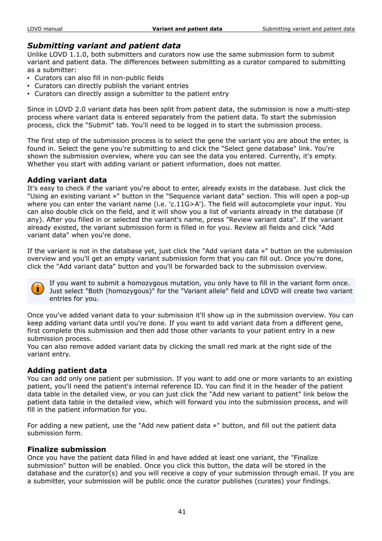# *Submitting variant and patient data*

Unlike LOVD 1.1.0, both submitters and curators now use the same submission form to submit variant and patient data. The differences between submitting as a curator compared to submitting as a submitter:

- Curators can also fill in non-public fields
- Curators can directly publish the variant entries
- Curators can directly assign a submitter to the patient entry

Since in LOVD 2.0 variant data has been split from patient data, the submission is now a multi-step process where variant data is entered separately from the patient data. To start the submission process, click the "Submit" tab. You'll need to be logged in to start the submission process.

The first step of the submission process is to select the gene the variant you are about the enter, is found in. Select the gene you're submitting to and click the "Select gene database" link. You're shown the submission overview, where you can see the data you entered. Currently, it's empty. Whether you start with adding variant or patient information, does not matter.

# **Adding variant data**

It's easy to check if the variant you're about to enter, already exists in the database. Just click the "Using an existing variant »" button in the "Sequence variant data" section. This will open a pop-up where you can enter the variant name (i.e. 'c.11G>A'). The field will autocomplete your input. You can also double click on the field, and it will show you a list of variants already in the database (if any). After you filled in or selected the variant's name, press "Review variant data". If the variant already existed, the variant submission form is filled in for you. Review all fields and click "Add variant data" when you're done.

If the variant is not in the database yet, just click the "Add variant data »" button on the submission overview and you'll get an empty variant submission form that you can fill out. Once you're done, click the "Add variant data" button and you'll be forwarded back to the submission overview.



If you want to submit a homozygous mutation, you only have to fill in the variant form once. Just select "Both (homozygous)" for the "Variant allele" field and LOVD will create two variant entries for you.

Once you've added variant data to your submission it'll show up in the submission overview. You can keep adding variant data until you're done. If you want to add variant data from a different gene, first complete this submission and then add those other variants to your patient entry in a new submission process.

You can also remove added variant data by clicking the small red mark at the right side of the variant entry.

# **Adding patient data**

You can add only one patient per submission. If you want to add one or more variants to an existing patient, you'll need the patient's internal reference ID. You can find it in the header of the patient data table in the detailed view, or you can just click the "Add new variant to patient" link below the patient data table in the detailed view, which will forward you into the submission process, and will fill in the patient information for you.

For adding a new patient, use the "Add new patient data »" button, and fill out the patient data submission form.

# **Finalize submission**

Once you have the patient data filled in and have added at least one variant, the "Finalize submission" button will be enabled. Once you click this button, the data will be stored in the database and the curator(s) and you will receive a copy of your submission through email. If you are a submitter, your submission will be public once the curator publishes (curates) your findings.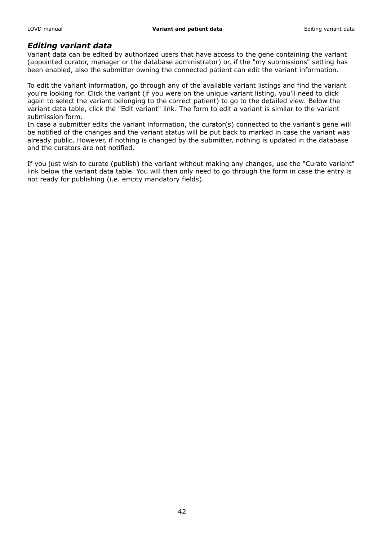# *Editing variant data*

Variant data can be edited by authorized users that have access to the gene containing the variant (appointed curator, manager or the database administrator) or, if the "my submissions" setting has been enabled, also the submitter owning the connected patient can edit the variant information.

To edit the variant information, go through any of the available variant listings and find the variant you're looking for. Click the variant (if you were on the unique variant listing, you'll need to click again to select the variant belonging to the correct patient) to go to the detailed view. Below the variant data table, click the "Edit variant" link. The form to edit a variant is similar to the variant submission form.

In case a submitter edits the variant information, the curator(s) connected to the variant's gene will be notified of the changes and the variant status will be put back to marked in case the variant was already public. However, if nothing is changed by the submitter, nothing is updated in the database and the curators are not notified.

If you just wish to curate (publish) the variant without making any changes, use the "Curate variant" link below the variant data table. You will then only need to go through the form in case the entry is not ready for publishing (i.e. empty mandatory fields).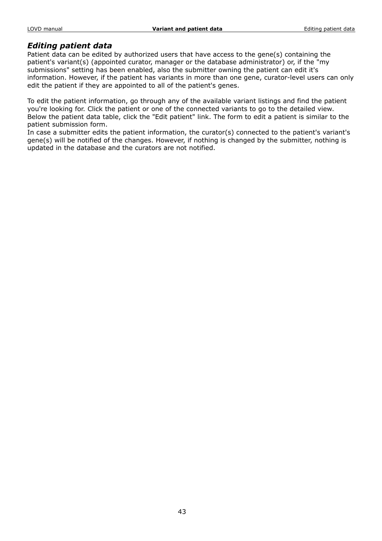# *Editing patient data*

Patient data can be edited by authorized users that have access to the gene(s) containing the patient's variant(s) (appointed curator, manager or the database administrator) or, if the "my submissions" setting has been enabled, also the submitter owning the patient can edit it's information. However, if the patient has variants in more than one gene, curator-level users can only edit the patient if they are appointed to all of the patient's genes.

To edit the patient information, go through any of the available variant listings and find the patient you're looking for. Click the patient or one of the connected variants to go to the detailed view. Below the patient data table, click the "Edit patient" link. The form to edit a patient is similar to the patient submission form.

In case a submitter edits the patient information, the curator(s) connected to the patient's variant's gene(s) will be notified of the changes. However, if nothing is changed by the submitter, nothing is updated in the database and the curators are not notified.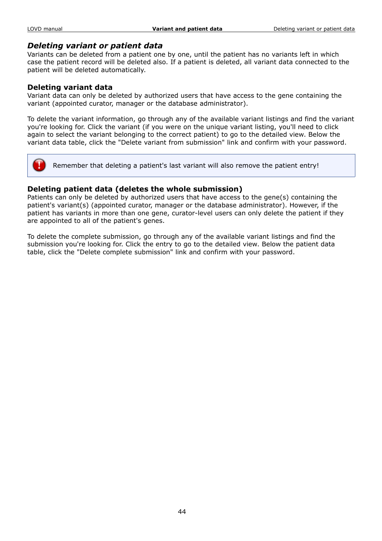# *Deleting variant or patient data*

Variants can be deleted from a patient one by one, until the patient has no variants left in which case the patient record will be deleted also. If a patient is deleted, all variant data connected to the patient will be deleted automatically.

# **Deleting variant data**

Variant data can only be deleted by authorized users that have access to the gene containing the variant (appointed curator, manager or the database administrator).

To delete the variant information, go through any of the available variant listings and find the variant you're looking for. Click the variant (if you were on the unique variant listing, you'll need to click again to select the variant belonging to the correct patient) to go to the detailed view. Below the variant data table, click the "Delete variant from submission" link and confirm with your password.



Remember that deleting a patient's last variant will also remove the patient entry!

# **Deleting patient data (deletes the whole submission)**

Patients can only be deleted by authorized users that have access to the gene(s) containing the patient's variant(s) (appointed curator, manager or the database administrator). However, if the patient has variants in more than one gene, curator-level users can only delete the patient if they are appointed to all of the patient's genes.

To delete the complete submission, go through any of the available variant listings and find the submission you're looking for. Click the entry to go to the detailed view. Below the patient data table, click the "Delete complete submission" link and confirm with your password.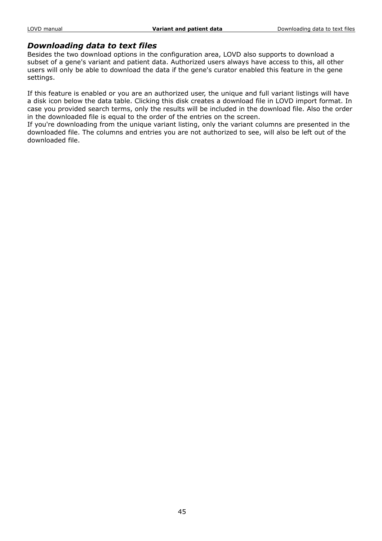# *Downloading data to text files*

Besides the two download options in the configuration area, LOVD also supports to download a subset of a gene's variant and patient data. Authorized users always have access to this, all other users will only be able to download the data if the gene's curator enabled this feature in the gene settings.

If this feature is enabled or you are an authorized user, the unique and full variant listings will have a disk icon below the data table. Clicking this disk creates a download file in LOVD import format. In case you provided search terms, only the results will be included in the download file. Also the order in the downloaded file is equal to the order of the entries on the screen.

If you're downloading from the unique variant listing, only the variant columns are presented in the downloaded file. The columns and entries you are not authorized to see, will also be left out of the downloaded file.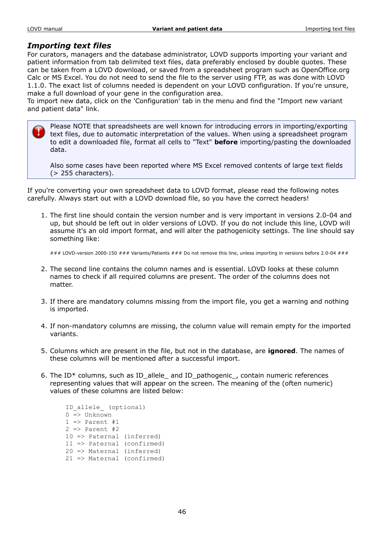# *Importing text files*

For curators, managers and the database administrator, LOVD supports importing your variant and patient information from tab delimited text files, data preferably enclosed by double quotes. These can be taken from a LOVD download, or saved from a spreadsheet program such as OpenOffice.org Calc or MS Excel. You do not need to send the file to the server using FTP, as was done with LOVD 1.1.0. The exact list of columns needed is dependent on your LOVD configuration. If you're unsure, make a full download of your gene in the configuration area.

To import new data, click on the 'Configuration' tab in the menu and find the "Import new variant and patient data" link.

Please NOTE that spreadsheets are well known for introducing errors in importing/exporting text files, due to automatic interpretation of the values. When using a spreadsheet program to edit a downloaded file, format all cells to "Text" **before** importing/pasting the downloaded data.

Also some cases have been reported where MS Excel removed contents of large text fields (> 255 characters).

If you're converting your own spreadsheet data to LOVD format, please read the following notes carefully. Always start out with a LOVD download file, so you have the correct headers!

1. The first line should contain the version number and is very important in versions 2.0-04 and up, but should be left out in older versions of LOVD. If you do not include this line, LOVD will assume it's an old import format, and will alter the pathogenicity settings. The line should say something like:

 $\# \#$  LOVD-version 2000-150  $\# \# \#$  Variants/Patients  $\# \# \#$  Do not remove this line, unless importing in versions before 2.0-04  $\# \# \#$ 

- 2. The second line contains the column names and is essential. LOVD looks at these column names to check if all required columns are present. The order of the columns does not matter.
- 3. If there are mandatory columns missing from the import file, you get a warning and nothing is imported.
- 4. If non-mandatory columns are missing, the column value will remain empty for the imported variants.
- 5. Columns which are present in the file, but not in the database, are **ignored**. The names of these columns will be mentioned after a successful import.
- 6. The ID\* columns, such as ID allele\_ and ID\_pathogenic\_, contain numeric references representing values that will appear on the screen. The meaning of the (often numeric) values of these columns are listed below:

```
 ID_allele_ (optional)
 0 => Unknown
1 => Parent #1
2 \Rightarrow Parent #2
 10 => Paternal (inferred)
 11 => Paternal (confirmed)
 20 => Maternal (inferred)
 21 => Maternal (confirmed)
```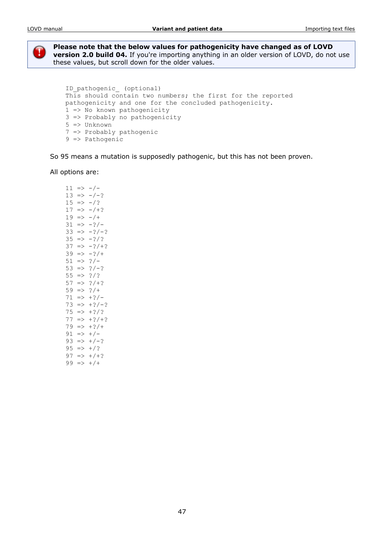

**Please note that the below values for pathogenicity have changed as of LOVD version 2.0 build 04.** If you're importing anything in an older version of LOVD, do not use these values, but scroll down for the older values.

```
ID pathogenic (optional)
This should contain two numbers; the first for the reported
 pathogenicity and one for the concluded pathogenicity.
 1 => No known pathogenicity
 3 => Probably no pathogenicity
 5 => Unknown
 7 => Probably pathogenic
 9 => Pathogenic
```
So 95 means a mutation is supposedly pathogenic, but this has not been proven.

All options are:

| 11 | $\Rightarrow$ | - / -     |
|----|---------------|-----------|
| 13 | $\Rightarrow$ | $-/-?$    |
| 15 | $\Rightarrow$ | $- / ?$   |
| 17 | $\Rightarrow$ | $- / + ?$ |
| 19 | $\Rightarrow$ | $- / +$   |
| 31 | $\Rightarrow$ | $-2/-$    |
| 33 | $\Rightarrow$ | $-2/-2$   |
| 35 | $\Rightarrow$ | $-2/2$    |
| 37 | $\Rightarrow$ | $-2/+?$   |
| 39 | $\Rightarrow$ | $-2/$     |
| 51 | $\Rightarrow$ | $? / -$   |
| 53 | $\Rightarrow$ | $? / - ?$ |
| 55 | $\Rightarrow$ | $?$ /?    |
| 57 | $\Rightarrow$ | $?$ /+?   |
| 59 | $\Rightarrow$ | $?$ /+    |
| 71 | $\Rightarrow$ | $+ ?/-$   |
| 73 | $\Rightarrow$ | $+?/-?$   |
| 75 | $\Rightarrow$ | $+2/2$    |
| 77 | $\Rightarrow$ | $+?$ /+?  |
| 79 | $=$           | $+2/$     |
| 91 | $\Rightarrow$ | $+/-$     |
| 93 | $\Rightarrow$ | $+/-?$    |
| 95 | $\Rightarrow$ | $+/?$     |
| 97 | $\Rightarrow$ | $+/+?$    |
| 99 | $\Rightarrow$ | $+$ / +   |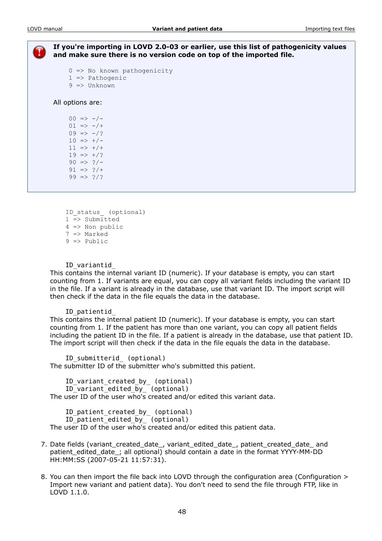**If you're importing in LOVD 2.0-03 or earlier, use this list of pathogenicity values and make sure there is no version code on top of the imported file.**

```
0 => No known pathogenicity
 1 => Pathogenic
9 \Rightarrow Unknown
```
All options are:

 $00 \Rightarrow -/ 01 \Rightarrow -/+$  $09 \Rightarrow -/?$  $10 \Rightarrow +/ 11 \implies +/+$  $19 \Rightarrow +/?$  $90 \Rightarrow 2/ 91 \implies ?/+$  $99 \implies ?$ 

```
ID status (optional)
1 \equiv Submitted
 4 => Non public
 7 => Marked
 9 => Public
```
ID\_variantid\_

This contains the internal variant ID (numeric). If your database is empty, you can start counting from 1. If variants are equal, you can copy all variant fields including the variant ID in the file. If a variant is already in the database, use that variant ID. The import script will then check if the data in the file equals the data in the database.

#### ID\_patientid\_

This contains the internal patient ID (numeric). If your database is empty, you can start counting from 1. If the patient has more than one variant, you can copy all patient fields including the patient ID in the file. If a patient is already in the database, use that patient ID. The import script will then check if the data in the file equals the data in the database.

ID submitterid (optional) The submitter ID of the submitter who's submitted this patient.

ID\_variant\_created\_by\_ (optional) ID\_variant\_edited\_by\_ (optional) The user ID of the user who's created and/or edited this variant data.

ID\_patient\_created\_by\_ (optional) ID patient edited  $\overline{b}y$  (optional) The user ID of the user who's created and/or edited this patient data.

- 7. Date fields (variant\_created\_date\_, variant\_edited\_date\_, patient\_created\_date\_ and patient\_edited\_date\_; all optional) should contain a date in the format YYYY-MM-DD HH:MM:SS (2007-05-21 11:57:31).
- 8. You can then import the file back into LOVD through the configuration area (Configuration > Import new variant and patient data). You don't need to send the file through FTP, like in LOVD 1.1.0.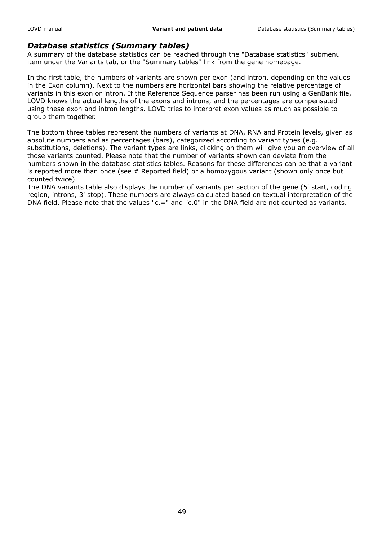# *Database statistics (Summary tables)*

A summary of the database statistics can be reached through the "Database statistics" submenu item under the Variants tab, or the "Summary tables" link from the gene homepage.

In the first table, the numbers of variants are shown per exon (and intron, depending on the values in the Exon column). Next to the numbers are horizontal bars showing the relative percentage of variants in this exon or intron. If the Reference Sequence parser has been run using a GenBank file, LOVD knows the actual lengths of the exons and introns, and the percentages are compensated using these exon and intron lengths. LOVD tries to interpret exon values as much as possible to group them together.

The bottom three tables represent the numbers of variants at DNA, RNA and Protein levels, given as absolute numbers and as percentages (bars), categorized according to variant types (e.g. substitutions, deletions). The variant types are links, clicking on them will give you an overview of all those variants counted. Please note that the number of variants shown can deviate from the numbers shown in the database statistics tables. Reasons for these differences can be that a variant is reported more than once (see # Reported field) or a homozygous variant (shown only once but counted twice).

The DNA variants table also displays the number of variants per section of the gene (5' start, coding region, introns, 3' stop). These numbers are always calculated based on textual interpretation of the DNA field. Please note that the values "c.=" and "c.0" in the DNA field are not counted as variants.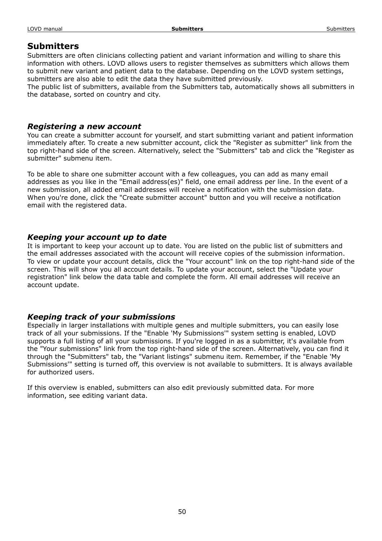# **Submitters**

Submitters are often clinicians collecting patient and variant information and willing to share this information with others. LOVD allows users to register themselves as submitters which allows them to submit new variant and patient data to the database. Depending on the LOVD system settings, submitters are also able to edit the data they have submitted previously.

The public list of submitters, available from the Submitters tab, automatically shows all submitters in the database, sorted on country and city.

# *Registering a new account*

You can create a submitter account for yourself, and start submitting variant and patient information immediately after. To create a new submitter account, click the "Register as submitter" link from the top right-hand side of the screen. Alternatively, select the "Submitters" tab and click the "Register as submitter" submenu item.

To be able to share one submitter account with a few colleagues, you can add as many email addresses as you like in the "Email address(es)" field, one email address per line. In the event of a new submission, all added email addresses will receive a notification with the submission data. When you're done, click the "Create submitter account" button and you will receive a notification email with the registered data.

# *Keeping your account up to date*

It is important to keep your account up to date. You are listed on the public list of submitters and the email addresses associated with the account will receive copies of the submission information. To view or update your account details, click the "Your account" link on the top right-hand side of the screen. This will show you all account details. To update your account, select the "Update your registration" link below the data table and complete the form. All email addresses will receive an account update.

# *Keeping track of your submissions*

Especially in larger installations with multiple genes and multiple submitters, you can easily lose track of all your submissions. If the "Enable 'My Submissions'" system setting is enabled, LOVD supports a full listing of all your submissions. If you're logged in as a submitter, it's available from the "Your submissions" link from the top right-hand side of the screen. Alternatively, you can find it through the "Submitters" tab, the "Variant listings" submenu item. Remember, if the "Enable 'My Submissions'" setting is turned off, this overview is not available to submitters. It is always available for authorized users.

If this overview is enabled, submitters can also edit previously submitted data. For more information, see editing variant data.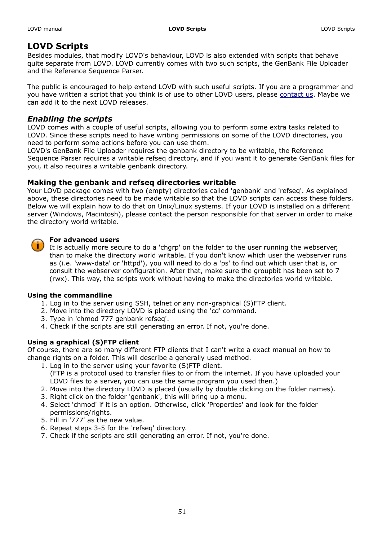# **LOVD Scripts**

Besides modules, that modify LOVD's behaviour, LOVD is also extended with scripts that behave quite separate from LOVD. LOVD currently comes with two such scripts, the GenBank File Uploader and the Reference Sequence Parser.

The public is encouraged to help extend LOVD with such useful scripts. If you are a programmer and you have written a script that you think is of use to other LOVD users, please [contact us.](http://www.LOVD.nl/2.0/contact.php) Maybe we can add it to the next LOVD releases.

# *Enabling the scripts*

LOVD comes with a couple of useful scripts, allowing you to perform some extra tasks related to LOVD. Since these scripts need to have writing permissions on some of the LOVD directories, you need to perform some actions before you can use them.

LOVD's GenBank File Uploader requires the genbank directory to be writable, the Reference Sequence Parser requires a writable refseq directory, and if you want it to generate GenBank files for you, it also requires a writable genbank directory.

# **Making the genbank and refseq directories writable**

Your LOVD package comes with two (empty) directories called 'genbank' and 'refseq'. As explained above, these directories need to be made writable so that the LOVD scripts can access these folders. Below we will explain how to do that on Unix/Linux systems. If your LOVD is installed on a different server (Windows, Macintosh), please contact the person responsible for that server in order to make the directory world writable.

# **For advanced users**

It is actually more secure to do a 'chgrp' on the folder to the user running the webserver, than to make the directory world writable. If you don't know which user the webserver runs as (i.e. 'www-data' or 'httpd'), you will need to do a 'ps' to find out which user that is, or consult the webserver configuration. After that, make sure the groupbit has been set to 7 (rwx). This way, the scripts work without having to make the directories world writable.

# **Using the commandline**

- 1. Log in to the server using SSH, telnet or any non-graphical (S)FTP client.
- 2. Move into the directory LOVD is placed using the 'cd' command.
- 3. Type in 'chmod 777 genbank refseq'.
- 4. Check if the scripts are still generating an error. If not, you're done.

# **Using a graphical (S)FTP client**

Of course, there are so many different FTP clients that I can't write a exact manual on how to change rights on a folder. This will describe a generally used method.

- 1. Log in to the server using your favorite (S)FTP client. (FTP is a protocol used to transfer files to or from the internet. If you have uploaded your LOVD files to a server, you can use the same program you used then.)
- 2. Move into the directory LOVD is placed (usually by double clicking on the folder names).
- 3. Right click on the folder 'genbank', this will bring up a menu.
- 4. Select 'chmod' if it is an option. Otherwise, click 'Properties' and look for the folder permissions/rights.
- 5. Fill in '777' as the new value.
- 6. Repeat steps 3-5 for the 'refseq' directory.
- 7. Check if the scripts are still generating an error. If not, you're done.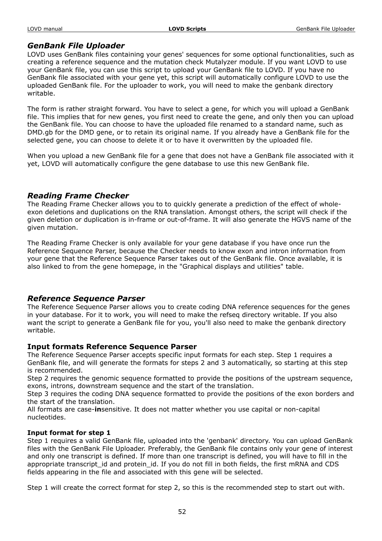# *GenBank File Uploader*

LOVD uses GenBank files containing your genes' sequences for some optional functionalities, such as creating a reference sequence and the mutation check Mutalyzer module. If you want LOVD to use your GenBank file, you can use this script to upload your GenBank file to LOVD. If you have no GenBank file associated with your gene yet, this script will automatically configure LOVD to use the uploaded GenBank file. For the uploader to work, you will need to make the genbank directory writable.

The form is rather straight forward. You have to select a gene, for which you will upload a GenBank file. This implies that for new genes, you first need to create the gene, and only then you can upload the GenBank file. You can choose to have the uploaded file renamed to a standard name, such as DMD.gb for the DMD gene, or to retain its original name. If you already have a GenBank file for the selected gene, you can choose to delete it or to have it overwritten by the uploaded file.

When you upload a new GenBank file for a gene that does not have a GenBank file associated with it yet, LOVD will automatically configure the gene database to use this new GenBank file.

# *Reading Frame Checker*

The Reading Frame Checker allows you to to quickly generate a prediction of the effect of wholeexon deletions and duplications on the RNA translation. Amongst others, the script will check if the given deletion or duplication is in-frame or out-of-frame. It will also generate the HGVS name of the given mutation.

The Reading Frame Checker is only available for your gene database if you have once run the Reference Sequence Parser, because the Checker needs to know exon and intron information from your gene that the Reference Sequence Parser takes out of the GenBank file. Once available, it is also linked to from the gene homepage, in the "Graphical displays and utilities" table.

# *Reference Sequence Parser*

The Reference Sequence Parser allows you to create coding DNA reference sequences for the genes in your database. For it to work, you will need to make the refseq directory writable. If you also want the script to generate a GenBank file for you, you'll also need to make the genbank directory writable.

# **Input formats Reference Sequence Parser**

The Reference Sequence Parser accepts specific input formats for each step. Step 1 requires a GenBank file, and will generate the formats for steps 2 and 3 automatically, so starting at this step is recommended.

Step 2 requires the genomic sequence formatted to provide the positions of the upstream sequence, exons, introns, downstream sequence and the start of the translation.

Step 3 requires the coding DNA sequence formatted to provide the positions of the exon borders and the start of the translation.

All formats are case-**in**sensitive. It does not matter whether you use capital or non-capital nucleotides.

# **Input format for step 1**

Step 1 requires a valid GenBank file, uploaded into the 'genbank' directory. You can upload GenBank files with the GenBank File Uploader. Preferably, the GenBank file contains only your gene of interest and only one transcript is defined. If more than one transcript is defined, you will have to fill in the appropriate transcript id and protein id. If you do not fill in both fields, the first mRNA and CDS fields appearing in the file and associated with this gene will be selected.

Step 1 will create the correct format for step 2, so this is the recommended step to start out with.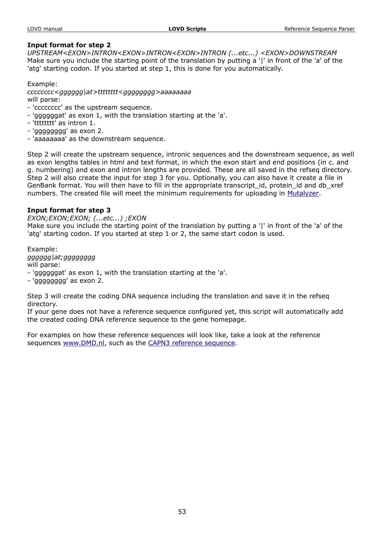#### **Input format for step 2**

*UPSTREAM<EXON>INTRON<EXON>INTRON<EXON>INTRON (...etc...) <EXON>DOWNSTREAM* Make sure you include the starting point of the translation by putting a '|' in front of the 'a' of the 'atg' starting codon. If you started at step 1, this is done for you automatically.

Example: *cccccccc<gggggg|at>tttttttt<gggggggg>aaaaaaaa* will parse:

- 'cccccccc' as the upstream sequence.
- 'ggggggat' as exon 1, with the translation starting at the 'a'.
- 'tttttttt' as intron 1.
- 'gggggggg' as exon 2.
- 'aaaaaaaa' as the downstream sequence.

Step 2 will create the upstream sequence, intronic sequences and the downstream sequence, as well as exon lengths tables in html and text format, in which the exon start and end positions (in c. and g. numbering) and exon and intron lengths are provided. These are all saved in the refseq directory. Step 2 will also create the input for step 3 for you. Optionally, you can also have it create a file in GenBank format. You will then have to fill in the appropriate transcript\_id, protein\_id and db\_xref numbers. The created file will meet the minimum requirements for uploading in [Mutalyzer.](http://www.mutalyzer.nl/)

#### **Input format for step 3**

*EXON;EXON;EXON; (...etc...) ;EXON*

Make sure you include the starting point of the translation by putting a '|' in front of the 'a' of the 'atg' starting codon. If you started at step 1 or 2, the same start codon is used.

Example: *gggggg|at;gggggggg* will parse: - 'ggggggat' as exon 1, with the translation starting at the 'a'. - 'gggggggg' as exon 2.

Step 3 will create the coding DNA sequence including the translation and save it in the refseq directory.

If your gene does not have a reference sequence configured yet, this script will automatically add the created coding DNA reference sequence to the gene homepage.

For examples on how these reference sequences will look like, take a look at the reference sequences [www.DMD.nl,](http://www.dmd.nl/) such as the [CAPN3 reference sequence.](http://www.dmd.nl/nmdb2/refseq/CAPN3_codingDNA.html)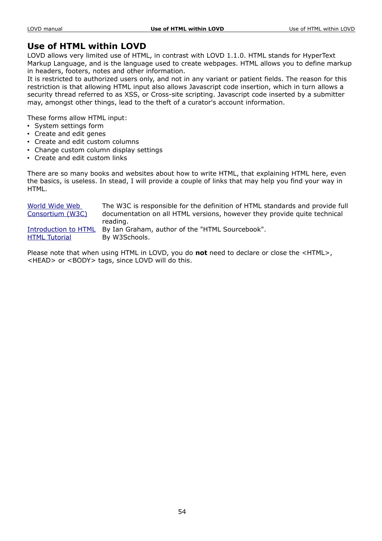# **Use of HTML within LOVD**

LOVD allows very limited use of HTML, in contrast with LOVD 1.1.0. HTML stands for HyperText Markup Language, and is the language used to create webpages. HTML allows you to define markup in headers, footers, notes and other information.

It is restricted to authorized users only, and not in any variant or patient fields. The reason for this restriction is that allowing HTML input also allows Javascript code insertion, which in turn allows a security thread referred to as XSS, or Cross-site scripting. Javascript code inserted by a submitter may, amongst other things, lead to the theft of a curator's account information.

These forms allow HTML input:

- System settings form
- Create and edit genes
- Create and edit custom columns
- Change custom column display settings
- Create and edit custom links

There are so many books and websites about how to write HTML, that explaining HTML here, even the basics, is useless. In stead, I will provide a couple of links that may help you find your way in HTML.

| World Wide Web       | The W3C is responsible for the definition of HTML standards and provide full |
|----------------------|------------------------------------------------------------------------------|
| Consortium (W3C)     | documentation on all HTML versions, however they provide quite technical     |
|                      | reading.                                                                     |
|                      | Introduction to HTML By Ian Graham, author of the "HTML Sourcebook".         |
| <b>HTML Tutorial</b> | By W3Schools.                                                                |

Please note that when using HTML in LOVD, you do **not** need to declare or close the <HTML>, <HEAD> or <BODY> tags, since LOVD will do this.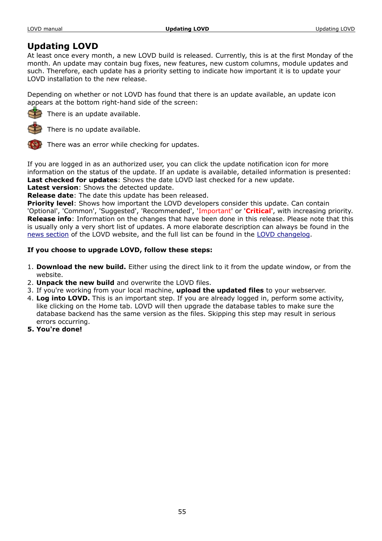# **Updating LOVD**

At least once every month, a new LOVD build is released. Currently, this is at the first Monday of the month. An update may contain bug fixes, new features, new custom columns, module updates and such. Therefore, each update has a priority setting to indicate how important it is to update your LOVD installation to the new release.

Depending on whether or not LOVD has found that there is an update available, an update icon appears at the bottom right-hand side of the screen:



There is an update available.



There is no update available.

There was an error while checking for updates.

If you are logged in as an authorized user, you can click the update notification icon for more information on the status of the update. If an update is available, detailed information is presented: **Last checked for updates**: Shows the date LOVD last checked for a new update.

**Latest version**: Shows the detected update.

**Release date**: The date this update has been released.

**Priority level**: Shows how important the LOVD developers consider this update. Can contain 'Optional', 'Common', 'Suggested', 'Recommended', 'Important' or '**Critical**', with increasing priority. **Release info**: Information on the changes that have been done in this release. Please note that this is usually only a very short list of updates. A more elaborate description can always be found in the [news section](http://www.LOVD.nl/2.0/news.php) of the LOVD website, and the full list can be found in the [LOVD changelog.](http://www.LOVD.nl/2.0/changelog.txt)

# **If you choose to upgrade LOVD, follow these steps:**

- 1. **Download the new build.** Either using the direct link to it from the update window, or from the website.
- 2. **Unpack the new build** and overwrite the LOVD files.
- 3. If you're working from your local machine, **upload the updated files** to your webserver.
- 4. **Log into LOVD.** This is an important step. If you are already logged in, perform some activity, like clicking on the Home tab. LOVD will then upgrade the database tables to make sure the database backend has the same version as the files. Skipping this step may result in serious errors occurring.
- **5. You're done!**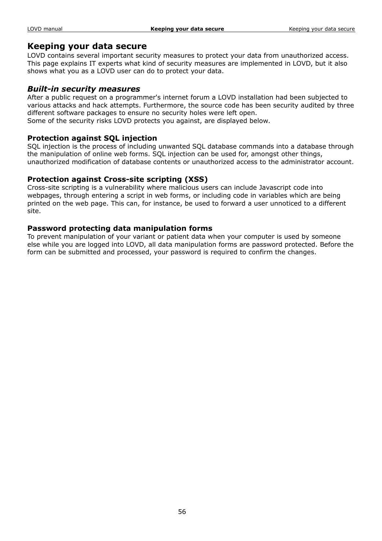# **Keeping your data secure**

LOVD contains several important security measures to protect your data from unauthorized access. This page explains IT experts what kind of security measures are implemented in LOVD, but it also shows what you as a LOVD user can do to protect your data.

#### *Built-in security measures*

After a public request on a programmer's internet forum a LOVD installation had been subjected to various attacks and hack attempts. Furthermore, the source code has been security audited by three different software packages to ensure no security holes were left open.

Some of the security risks LOVD protects you against, are displayed below.

#### **Protection against SQL injection**

SQL injection is the process of including unwanted SQL database commands into a database through the manipulation of online web forms. SQL injection can be used for, amongst other things, unauthorized modification of database contents or unauthorized access to the administrator account.

#### **Protection against Cross-site scripting (XSS)**

Cross-site scripting is a vulnerability where malicious users can include Javascript code into webpages, through entering a script in web forms, or including code in variables which are being printed on the web page. This can, for instance, be used to forward a user unnoticed to a different site.

#### **Password protecting data manipulation forms**

To prevent manipulation of your variant or patient data when your computer is used by someone else while you are logged into LOVD, all data manipulation forms are password protected. Before the form can be submitted and processed, your password is required to confirm the changes.